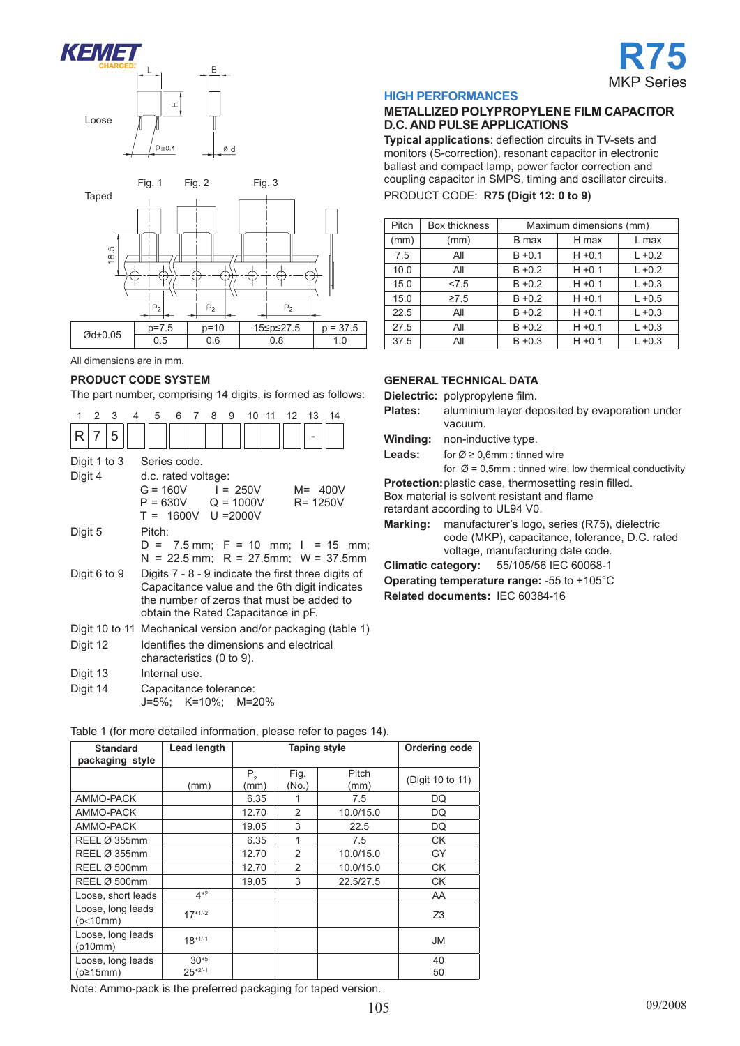





## **Product code system**

The part number, comprising 14 digits, is formed as follows:

| 1            | $\mathcal{P}$ | 3 | 4 | 5                                                                                                                                                                                        |  |  | 6 7 8 | 9 |  | 10 11 |  | 12 13 14 |  |                                                                              |  |
|--------------|---------------|---|---|------------------------------------------------------------------------------------------------------------------------------------------------------------------------------------------|--|--|-------|---|--|-------|--|----------|--|------------------------------------------------------------------------------|--|
| R            | 7             | 5 |   |                                                                                                                                                                                          |  |  |       |   |  |       |  |          |  |                                                                              |  |
| Digit 1 to 3 |               |   |   | Series code.                                                                                                                                                                             |  |  |       |   |  |       |  |          |  |                                                                              |  |
| Digit 4      |               |   |   | d.c. rated voltage:<br>$G = 160V$ $I = 250V$<br>$M = 400V$<br>$P = 630V$ Q = 1000V<br>$R = 1250V$<br>$T = 1600V$ U = 2000V                                                               |  |  |       |   |  |       |  |          |  |                                                                              |  |
| Digit 5      |               |   |   | Pitch:                                                                                                                                                                                   |  |  |       |   |  |       |  |          |  | $D = 7.5$ mm; F = 10 mm; I = 15 mm;<br>$N = 22.5$ mm; R = 27.5mm; W = 37.5mm |  |
| Digit 6 to 9 |               |   |   | Digits 7 - 8 - 9 indicate the first three digits of<br>Capacitance value and the 6th digit indicates<br>the number of zeros that must be added to<br>obtain the Rated Capacitance in pF. |  |  |       |   |  |       |  |          |  |                                                                              |  |
|              |               |   |   |                                                                                                                                                                                          |  |  |       |   |  |       |  |          |  | Digit 10 to 11 Mechanical version and/or packaging (table 1)                 |  |
| Digit 12     |               |   |   | Identifies the dimensions and electrical<br>characteristics (0 to 9).                                                                                                                    |  |  |       |   |  |       |  |          |  |                                                                              |  |
| Digit 13     |               |   |   | Internal use.                                                                                                                                                                            |  |  |       |   |  |       |  |          |  |                                                                              |  |
| Digit 14     |               |   |   | Capacitance tolerance:<br>J=5%; K=10%; M=20%                                                                                                                                             |  |  |       |   |  |       |  |          |  |                                                                              |  |

Table 1 (for more detailed information, please refer to pages 14).

| <b>Standard</b><br>packaging style | Lead length |                 | <b>Taping style</b> | <b>Ordering code</b> |                  |
|------------------------------------|-------------|-----------------|---------------------|----------------------|------------------|
|                                    | (mm)        | $P_{2}$<br>(mm) | Fig.<br>(No.)       | Pitch<br>(mm)        | (Digit 10 to 11) |
| AMMO-PACK                          |             | 6.35            | 1                   | 7.5                  | DQ               |
| AMMO-PACK                          |             | 12.70           | $\overline{2}$      | 10.0/15.0            | DQ               |
| AMMO-PACK                          |             | 19.05           | 3                   | 22.5                 | DQ               |
| REEL Ø 355mm                       |             | 6.35            | 1                   | 7.5                  | СK               |
| REEL Ø 355mm                       |             | 12.70           | 2                   | 10.0/15.0            | GY               |
| REEL Ø 500mm                       |             | 12.70           | $\overline{2}$      | 10.0/15.0            | CK               |
| REEL Ø 500mm                       |             | 19.05           | 3                   | 22.5/27.5            | <b>CK</b>        |
| Loose, short leads                 | $4^{+2}$    |                 |                     |                      | AA               |
| Loose, long leads<br>(p<10mm)      | $17+1/-2$   |                 |                     |                      | Z3               |
| Loose, long leads<br>(p10mm)       | $18+1/-1$   |                 |                     |                      | <b>JM</b>        |
| Loose, long leads                  | $30^{+5}$   |                 |                     |                      | 40               |
| $(p\geq 15$ mm)                    | $25+2/-1$   |                 |                     |                      | 50               |

Note: Ammo-pack is the preferred packaging for taped version.

#### **HIGH PERFORMANCES**

#### **METALLIZED POLYPROPYLENE FILM CAPACITOR D.C. AND PULSE APPLICATIONS**

**Typical applications**: deflection circuits in TV-sets and monitors (S-correction), resonant capacitor in electronic ballast and compact lamp, power factor correction and coupling capacitor in SMPS, timing and oscillator circuits.

PRODUCT CODE: **R75 (Digit 12: 0 to 9)**

| Pitch | Box thickness | Maximum dimensions (mm) |           |           |  |  |  |  |  |  |
|-------|---------------|-------------------------|-----------|-----------|--|--|--|--|--|--|
| (mm)  | (mm)          | B max                   | H max     | L max     |  |  |  |  |  |  |
| 7.5   | All           | $B + 0.1$               | $H + 0.1$ | $L + 0.2$ |  |  |  |  |  |  |
| 10.0  | All           | $B + 0.2$               | $H + 0.1$ | $L + 0.2$ |  |  |  |  |  |  |
| 15.0  | 27.5          | $B + 0.2$               | $H + 0.1$ | $L + 0.3$ |  |  |  |  |  |  |
| 15.0  | $\geq 7.5$    | $B + 0.2$               | $H + 0.1$ | $L + 0.5$ |  |  |  |  |  |  |
| 22.5  | All           | $B + 0.2$               | $H + 0.1$ | $L + 0.3$ |  |  |  |  |  |  |
| 27.5  | All           | $B + 0.2$               | $H + 0.1$ | $L + 0.3$ |  |  |  |  |  |  |
| 37.5  | All           | $B + 0.3$               | $H + 0.1$ | $L + 0.3$ |  |  |  |  |  |  |

### **GENERAL TECHNICAL DAta**

**Dielectric:** polypropylene film.

- **Plates:** aluminium layer deposited by evaporation under vacuum.
- **Winding:** non-inductive type.

**Leads:** for  $\emptyset \ge 0,6$ mm : tinned wire

for  $\varnothing$  = 0,5mm : tinned wire, low thermical conductivity

**Protection:**plastic case, thermosetting resin filled.

Box material is solvent resistant and flame

retardant according to UL94 V0.

**Marking:** manufacturer's logo, series (R75), dielectric code (MKP), capacitance, tolerance, D.C. rated voltage, manufacturing date code.

**Climatic category:** 55/105/56 IEC 60068-1

**Operating temperature range:** -55 to +105°C

**Related documents:** IEC 60384-16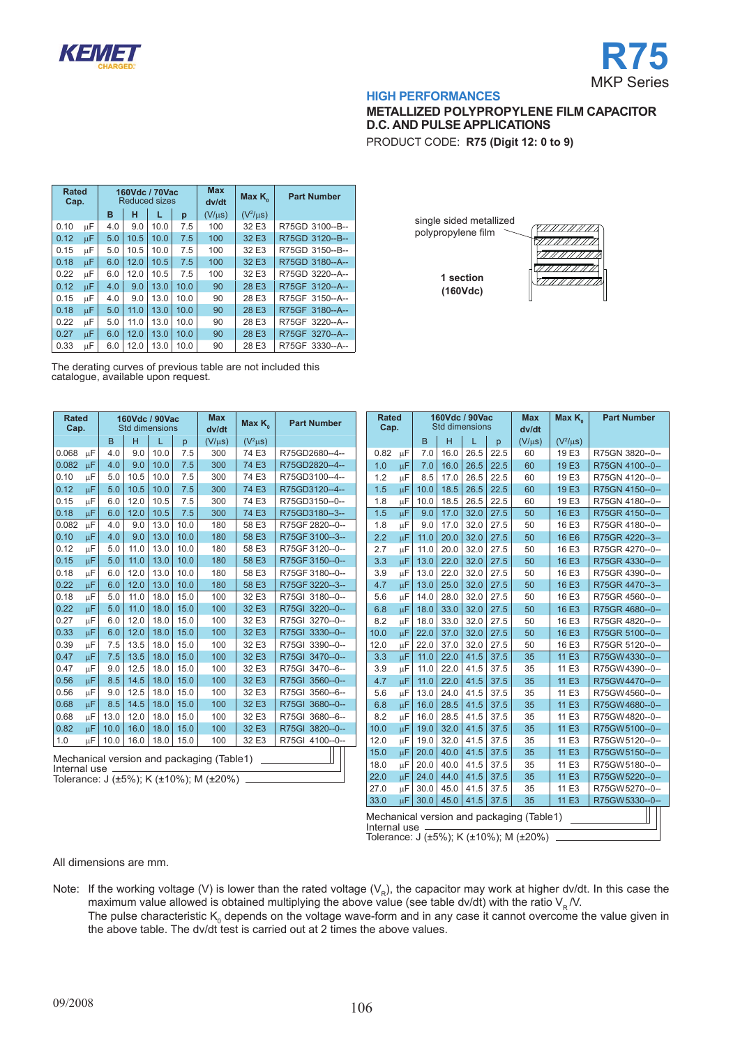



# **METALLIZED POLYPROPYLENE FILM CAPACITOR D.C. AND PULSE APPLICATIONS**

PRODUCT CODE: **R75 (Digit 12: 0 to 9)**

| <b>Rated</b><br>Cap. |    |     |      | 160Vdc / 70Vac<br><b>Reduced sizes</b> |      | <b>Max</b><br>dv/dt | Max $K_{\alpha}$ | <b>Part Number</b> |
|----------------------|----|-----|------|----------------------------------------|------|---------------------|------------------|--------------------|
|                      |    | в   | н    | L<br>p                                 |      | $(V/\mu s)$         | $(V^2/\mu s)$    |                    |
| 0.10                 | μF | 4.0 | 9.0  | 10.0                                   | 7.5  | 100                 | 32 E3            | R75GD 3100--B--    |
| 0.12                 | цF | 5.0 | 10.5 | 10.0                                   | 7.5  | 100                 | 32 E3            | R75GD 3120--B--    |
| 0.15                 | μF | 5.0 | 10.5 | 10.0                                   | 7.5  | 100                 | 32 E3            | R75GD 3150--B--    |
| 0.18                 | μF | 6.0 | 12.0 | 10.5                                   | 7.5  | 100                 | 32 E3            | R75GD 3180--A--    |
| 0.22                 | μF | 6.0 | 12.0 | 10.5                                   | 7.5  | 100                 | 32 E3            | R75GD 3220--A--    |
| 0.12                 | цF | 4.0 | 9.0  | 13.0                                   | 10.0 | 90                  | 28 E3            | R75GF 3120--A--    |
| 0.15                 | μF | 4.0 | 9.0  | 13.0                                   | 10.0 | 90                  | 28 E3            | R75GF 3150--A--    |
| 0.18                 | μF | 5.0 | 11.0 | 13.0                                   | 10.0 | 90                  | 28 E3            | R75GF 3180--A--    |
| 0.22                 | μF | 5.0 | 11.0 | 13.0                                   | 10.0 | 90                  | 28 E3            | R75GF 3220--A--    |
| 0.27                 | μF | 6.0 | 12.0 | 13.0                                   | 10.0 | 90                  | 28 E3            | R75GF 3270--A--    |
| 0.33                 | μF | 6.0 | 12.0 | 13.0                                   | 10.0 | 90                  | 28 E3            | R75GF 3330--A--    |

|                                    | The derating curves of previous table are not included this |
|------------------------------------|-------------------------------------------------------------|
| catalogue, available upon request. |                                                             |

| <b>Rated</b><br>Cap. |                                           |      |      | 160Vdc / 90Vac<br><b>Std dimensions</b> |      | <b>Max</b><br>dv/dt | Max K <sub>o</sub> | <b>Part Number</b> |  |  |  |
|----------------------|-------------------------------------------|------|------|-----------------------------------------|------|---------------------|--------------------|--------------------|--|--|--|
|                      |                                           | B    | Н    | L                                       | p    | $(V/\mu s)$         | $(V^2\mu s)$       |                    |  |  |  |
| 0.068                | μF                                        | 4.0  | 9.0  | 10.0                                    | 7.5  | 300                 | 74 E3              | R75GD2680--4--     |  |  |  |
| 0.082                | μF                                        | 4.0  | 9.0  | 10.0                                    | 7.5  | 300                 | 74 E3              | R75GD2820--4--     |  |  |  |
| 0.10                 | μF                                        | 5.0  | 10.5 | 10.0                                    | 7.5  | 300                 | 74 E3              | R75GD3100--4--     |  |  |  |
| 0.12                 | μF                                        | 5.0  | 10.5 | 10.0                                    | 7.5  | 300                 | 74 E3              | R75GD3120--4--     |  |  |  |
| 0.15                 | μF                                        | 6.0  | 12.0 | 10.5                                    | 7.5  | 300                 | 74 E3              | R75GD3150--0--     |  |  |  |
| 0.18                 | цF                                        | 6.0  | 12.0 | 10.5                                    | 7.5  | 300                 | 74 E3              | R75GD3180--3--     |  |  |  |
| 0.082                | μF                                        | 4.0  | 9.0  | 13.0                                    | 10.0 | 180                 | 58 E3              | R75GF 2820--0--    |  |  |  |
| 0.10                 | μF                                        | 4.0  | 9.0  | 13.0                                    | 10.0 | 180                 | 58 E3              | R75GF 3100--3--    |  |  |  |
| 0.12                 | μF                                        | 5.0  | 11.0 | 13.0                                    | 10.0 | 180                 | 58 E3              | R75GF 3120--0--    |  |  |  |
| 0.15                 | $\mu$ F                                   | 5.0  | 11.0 | 13.0                                    | 10.0 | 180                 | 58 E3              | R75GF 3150--0--    |  |  |  |
| 0.18                 | μF                                        | 6.0  | 12.0 | 13.0                                    | 10.0 | 180                 | 58 E3              | R75GF 3180--0--    |  |  |  |
| 0.22                 | μF                                        | 6.0  | 12.0 | 13.0                                    | 10.0 | 180                 | 58 E3              | R75GF 3220--3--    |  |  |  |
| 0.18                 | μF                                        | 5.0  | 11.0 | 18.0                                    | 15.0 | 100                 | 32 E3              | R75GI 3180--0--    |  |  |  |
| 0.22                 | μF                                        | 5.0  | 11.0 | 18.0                                    | 15.0 | 100                 | 32 E3              | R75GI 3220--0--    |  |  |  |
| 0.27                 | μF                                        | 6.0  | 12.0 | 18.0                                    | 15.0 | 100                 | 32 E3              | R75GI 3270--0--    |  |  |  |
| 0.33                 | μF                                        | 6.0  | 12.0 | 18.0                                    | 15.0 | 100                 | 32 E3              | R75GI 3330--0--    |  |  |  |
| 0.39                 | μF                                        | 7.5  | 13.5 | 18.0                                    | 15.0 | 100                 | 32 E3              | R75GI 3390--0--    |  |  |  |
| 0.47                 | μF                                        | 7.5  | 13.5 | 18.0                                    | 15.0 | 100                 | 32 E3              | R75GI 3470--0--    |  |  |  |
| 0.47                 | μF                                        | 9.0  | 12.5 | 18.0                                    | 15.0 | 100                 | 32 E3              | R75GI 3470--6--    |  |  |  |
| 0.56                 | цF                                        | 8.5  | 14.5 | 18.0                                    | 15.0 | 100                 | 32 E3              | R75GI 3560--0--    |  |  |  |
| 0.56                 | μF                                        | 9.0  | 12.5 | 18.0                                    | 15.0 | 100                 | 32 E3              | R75GI 3560--6--    |  |  |  |
| 0.68                 | μF                                        | 8.5  | 14.5 | 18.0                                    | 15.0 | 100                 | 32 E3              | R75GI 3680--0--    |  |  |  |
| 0.68                 | μF                                        | 13.0 | 12.0 | 18.0                                    | 15.0 | 100                 | 32 E3              | 3680--6--<br>R75GI |  |  |  |
| 0.82                 | μF                                        | 10.0 | 16.0 | 18.0                                    | 15.0 | 100                 | 32 E3              | R75GI 3820--0--    |  |  |  |
| 1.0                  | μF                                        | 10.0 | 16.0 | 18.0                                    | 15.0 | 100                 | 32 E3              | R75GI 4100--0--    |  |  |  |
|                      | Mechanical version and packaging (Table1) |      |      |                                         |      |                     |                    |                    |  |  |  |

Internal use Tolerance: J (±5%); K (±10%); M (±20%)

| single sided metallized<br>polypropylene film |  |
|-----------------------------------------------|--|
|                                               |  |
| 1 section<br>(160Vdc)                         |  |

| <b>Rated</b><br>Cap.                                                                                |    |      | 160Vdc / 90Vac<br><b>Std dimensions</b> |      |      | <b>Max</b><br>dv/dt | Max $K_{\alpha}$ | <b>Part Number</b> |  |
|-----------------------------------------------------------------------------------------------------|----|------|-----------------------------------------|------|------|---------------------|------------------|--------------------|--|
|                                                                                                     |    | B    | н                                       | L    | p    | $(V/\mu s)$         | $(V^2/\mu s)$    |                    |  |
| 0.82                                                                                                | μF | 7.0  | 16.0                                    | 26.5 | 22.5 | 60                  | 19 E3            | R75GN 3820--0--    |  |
| 1.0                                                                                                 | μF | 7.0  | 16.0                                    | 26.5 | 22.5 | 60                  | 19 E3            | R75GN 4100--0--    |  |
| 1.2                                                                                                 | μF | 8.5  | 17.0                                    | 26.5 | 22.5 | 60                  | 19 E3            | R75GN 4120--0--    |  |
| 1.5                                                                                                 | μF | 10.0 | 18.5                                    | 26.5 | 22.5 | 60                  | 19 E3            | R75GN 4150--0--    |  |
| 1.8                                                                                                 | μF | 10.0 | 18.5                                    | 26.5 | 22.5 | 60                  | 19 E3            | R75GN 4180--0--    |  |
| 1.5                                                                                                 | μF | 9.0  | 17.0                                    | 32.0 | 27.5 | 50                  | 16 E3            | R75GR 4150--0--    |  |
| 1.8                                                                                                 | μF | 9.0  | 17.0                                    | 32.0 | 27.5 | 50                  | 16 E3            | R75GR 4180--0--    |  |
| 2.2                                                                                                 | цF | 11.0 | 20.0                                    | 32.0 | 27.5 | 50                  | 16 E6            | R75GR 4220--3--    |  |
| 2.7                                                                                                 | μF | 11.0 | 20.0                                    | 32.0 | 27.5 | 50                  | 16 E3            | R75GR 4270--0--    |  |
| 3.3                                                                                                 | μF | 13.0 | 22.0                                    | 32.0 | 27.5 | 50                  | 16 E3            | R75GR 4330--0--    |  |
| 3.9                                                                                                 | μF | 13.0 | 22.0                                    | 32.0 | 27.5 | 50                  | 16 E3            | R75GR 4390--0--    |  |
| 4.7                                                                                                 | μF | 13.0 | 25.0                                    | 32.0 | 27.5 | 50                  | 16 E3            | R75GR 4470--3--    |  |
| 5.6                                                                                                 | μF | 14.0 | 28.0                                    | 32.0 | 27.5 | 50                  | 16 E3            | R75GR 4560--0--    |  |
| 6.8                                                                                                 | μF | 18.0 | 33.0                                    | 32.0 | 27.5 | 50                  | 16 E3            | R75GR 4680--0--    |  |
| 8.2                                                                                                 | μF | 18.0 | 33.0                                    | 32.0 | 27.5 | 50                  | 16 E3            | R75GR 4820--0--    |  |
| 10.0                                                                                                | μF | 22.0 | 37.0                                    | 32.0 | 27.5 | 50                  | 16 E3            | R75GR 5100--0--    |  |
| 12.0                                                                                                | μF | 22.0 | 37.0                                    | 32.0 | 27.5 | 50                  | 16 E3            | R75GR 5120--0--    |  |
| 3.3                                                                                                 | μF | 11.0 | 22.0                                    | 41.5 | 37.5 | 35                  | 11 E3            | R75GW4330--0--     |  |
| 3.9                                                                                                 | μF | 11.0 | 22.0                                    | 41.5 | 37.5 | 35                  | 11 E3            | R75GW4390--0--     |  |
| 4.7                                                                                                 | μF | 11.0 | 22.0                                    | 41.5 | 37.5 | 35                  | 11 E3            | R75GW4470--0--     |  |
| 5.6                                                                                                 | μF | 13.0 | 24.0                                    | 41.5 | 37.5 | 35                  | 11 E3            | R75GW4560--0--     |  |
| 6.8                                                                                                 | μF | 16.0 | 28.5                                    | 41.5 | 37.5 | 35                  | 11 E3            | R75GW4680--0--     |  |
| 8.2                                                                                                 | μF | 16.0 | 28.5                                    | 41.5 | 37.5 | 35                  | 11 E3            | R75GW4820--0--     |  |
| 10.0                                                                                                | μF | 19.0 | 32.0                                    | 41.5 | 37.5 | 35                  | 11 E3            | R75GW5100--0--     |  |
| 12.0                                                                                                | μF | 19.0 | 32.0                                    | 41.5 | 37.5 | 35                  | 11 E3            | R75GW5120--0--     |  |
| 15.0                                                                                                | цF | 20.0 | 40.0                                    | 41.5 | 37.5 | 35                  | 11 E3            | R75GW5150--0--     |  |
| 18.0                                                                                                | μF | 20.0 | 40.0                                    | 41.5 | 37.5 | 35                  | 11 E3            | R75GW5180--0--     |  |
| 22.0                                                                                                | μF | 24.0 | 44.0                                    | 41.5 | 37.5 | 35                  | 11 E3            | R75GW5220--0--     |  |
| 27.0                                                                                                | μF | 30.0 | 45.0                                    | 41.5 | 37.5 | 35                  | 11 E3            | R75GW5270--0--     |  |
| 33.0                                                                                                | μF | 30.0 | 45.0                                    | 41.5 | 37.5 | 35                  | 11 E3            | R75GW5330--0--     |  |
| Mechanical version and packaging (Table1)<br>Internal use<br>Tolerance: J (±5%); K (±10%); M (±20%) |    |      |                                         |      |      |                     |                  |                    |  |

All dimensions are mm.

Note: If the working voltage (V) is lower than the rated voltage (V<sub>R</sub>), the capacitor may work at higher dv/dt. In this case the maximum value allowed is obtained multiplying the above value (see table dv/dt) with the ratio  $V_R$  /V. The pulse characteristic K<sub>0</sub> depends on the voltage wave-form and in any case it cannot overcome the value given in the above table. The dv/dt test is carried out at 2 times the above values.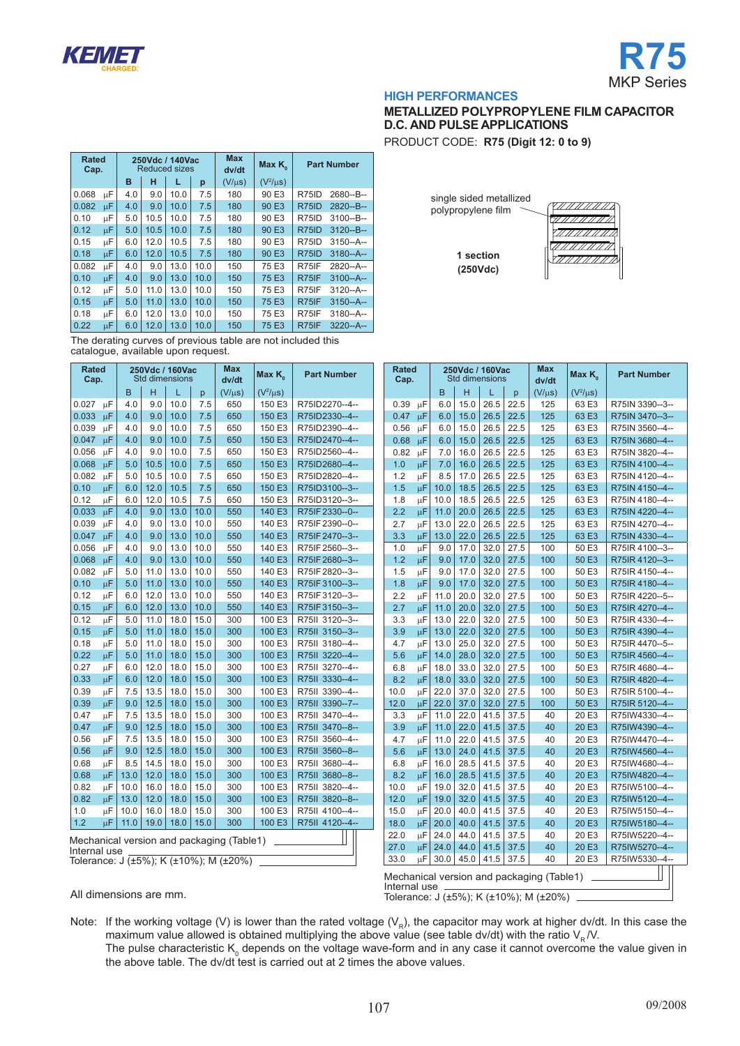



### **METALLIZED POLYPROPYLENE FILM CAPACITOR D.C. AND PULSE APPLICATIONS**

7777777777777777

PRODUCT CODE: **R75 (Digit 12: 0 to 9)**

**1 section (250Vdc)**

single sided metallized polypropylene film

| <b>Rated</b><br>Cap. |               |             | 250Vdc / 140Vac<br><b>Reduced sizes</b> |             |               | Max<br>dv/dt | Max K <sub>o</sub> |       | <b>Part Number</b> |
|----------------------|---------------|-------------|-----------------------------------------|-------------|---------------|--------------|--------------------|-------|--------------------|
|                      |               | н<br>в<br>p |                                         | $(V/\mu s)$ | $(V^2/\mu s)$ |              |                    |       |                    |
| 0.068                | μF            | 4.0         | 9.0                                     | 10.0        | 7.5           | 180          | 90 E3              | R75ID | 2680--B--          |
| 0.082                | μF            | 4.0         | 9.0                                     | 10.0        | 7.5           | 180          | 90 E3              | R75ID | $2820 - B -$       |
| 0.10                 | μF            | 5.0         | 10.5                                    | 10.0        | 7.5           | 180          | 90 E3              | R75ID | $3100 - B -$       |
| 0.12                 | μF            | 5.0         | 10.5                                    | 10.0        | 7.5           | 180          | 90 E3              | R75ID | $3120 - B -$       |
| 0.15                 | μF            | 6.0         | 12.0                                    | 10.5        | 7.5           | 180          | 90 E3              | R75ID | $3150 - A -$       |
| 0.18                 | μF            | 6.0         | 12.0                                    | 10.5        | 7.5           | 180          | 90 E3              | R75ID | $3180 - A -$       |
| 0.082                | μF            | 4.0         | 9.0                                     | 13.0        | 10.0          | 150          | 75 E3              | R75IF | 2820--A--          |
| 0.10                 | μF            | 4.0         | 9.0                                     | 13.0        | 10.0          | 150          | 75 E3              | R75IF | $3100 - A -$       |
| 0.12                 | μF            | 5.0         | 11.0                                    | 13.0        | 10.0          | 150          | 75 E3              | R75IF | $3120 - A -$       |
| 0.15                 | μF            | 5.0         | 11.0                                    | 13.0        | 10.0          | 150          | 75 E3              | R75IF | $3150 - A -$       |
| 0.18                 | μF            | 6.0         | 12.0                                    | 13.0        | 10.0          | 150          | 75 E3              | R75IF | $3180 - A -$       |
| 0.22                 | μF            | 6.0         | 12.0                                    | 13.0        | 10.0          | 150          | 75 E3              | R75IF | $3220 - A -$       |
| --                   | $\sim$ $\sim$ |             |                                         |             |               |              |                    |       |                    |

The derating curves of previous table are not included this catalogue, available upon request.

|                             | <b>Rated</b><br>250Vdc / 160Vac<br>Std dimensions<br>Cap. |      |      | Max<br>dv/dt | Max $K_{\scriptscriptstyle\alpha}$ | <b>Part Number</b>                        |               | <b>Rated</b><br>Cap. |  | 250Vdc / 160Vac<br><b>Std dimensions</b> |         |      |      | Max<br>dv/dt | Max K <sub>o</sub> | <b>Part Number</b> |               |                 |
|-----------------------------|-----------------------------------------------------------|------|------|--------------|------------------------------------|-------------------------------------------|---------------|----------------------|--|------------------------------------------|---------|------|------|--------------|--------------------|--------------------|---------------|-----------------|
|                             |                                                           | B    | H    | L            | p                                  | $(V/\mu s)$                               | $(V^2/\mu s)$ |                      |  |                                          |         | B    | н    |              | p                  | $(V/\mu s)$        | $(V^2/\mu s)$ |                 |
| 0.027                       | μF                                                        | 4.0  | 9.0  | 10.0         | 7.5                                | 650                                       | 150 E3        | R75ID2270--4--       |  | 0.39                                     | μF      | 6.0  | 15.0 | 26.5         | 22.5               | 125                | 63 E3         | R75IN 3390-3-   |
| $0.033 \text{ }\mu\text{F}$ |                                                           | 4.0  | 9.0  | 10.0         | 7.5                                | 650                                       | 150 E3        | R75ID2330--4--       |  | 0.47                                     | $\mu$ F | 6.0  | 15.0 | 26.5         | 22.5               | 125                | 63 E3         | R75IN 3470--3-- |
| 0.039                       | μF                                                        | 4.0  | 9.0  | 10.0         | 7.5                                | 650                                       | 150 E3        | R75ID2390--4--       |  | 0.56                                     | μF      | 6.0  | 15.0 | 26.5         | 22.5               | 125                | 63 E3         | R75IN 3560--4-- |
| $0.047$ uF                  |                                                           | 4.0  | 9.0  | 10.0         | 7.5                                | 650                                       | 150 E3        | R75ID2470--4--       |  | 0.68                                     | μF      | 6.0  | 15.0 | 26.5         | 22.5               | 125                | 63 E3         | R75IN 3680--4-- |
| 0.056                       | $\mu$ F                                                   | 4.0  | 9.0  | 10.0         | 7.5                                | 650                                       | 150 E3        | R75ID2560--4--       |  | 0.82                                     | μF      | 7.0  | 16.0 | 26.5         | 22.5               | 125                | 63 E3         | R75IN 3820--4-- |
| 0.068                       | μF                                                        | 5.0  | 10.5 | 10.0         | 7.5                                | 650                                       | 150 E3        | R75ID2680--4--       |  | 1.0                                      | $\mu$ F | 7.0  | 16.0 | 26.5         | 22.5               | 125                | 63 E3         | R75IN 4100--4-- |
| 0.082                       | μF                                                        | 5.0  | 10.5 | 10.0         | 7.5                                | 650                                       | 150 E3        | R75ID2820--4--       |  | 1.2                                      | μF      | 8.5  | 17.0 | 26.5         | 22.5               | 125                | 63 E3         | R75IN 4120--4-- |
| 0.10                        | μF                                                        | 6.0  | 12.0 | 10.5         | 7.5                                | 650                                       | 150 E3        | R75ID3100--3--       |  | 1.5                                      | μF      | 10.0 | 18.5 | 26.5         | 22.5               | 125                | 63 E3         | R75IN 4150--4-- |
| 0.12                        | μF                                                        | 6.0  | 12.0 | 10.5         | 7.5                                | 650                                       | 150 E3        | R75ID3120--3--       |  | 1.8                                      | μF      | 10.0 | 18.5 | 26.5         | 22.5               | 125                | 63 E3         | R75IN 4180--4-- |
| 0.033                       | μF                                                        | 4.0  | 9.0  | 13.0         | 10.0                               | 550                                       | 140 E3        | R75IF 2330--0--      |  | 2.2                                      | μF      | 11.0 | 20.0 | 26.5         | 22.5               | 125                | 63 E3         | R75IN 4220--4-- |
| 0.039                       | μF                                                        | 4.0  | 9.0  | 13.0         | 10.0                               | 550                                       | 140 E3        | R75IF 2390--0--      |  | 2.7                                      | μF      | 13.0 | 22.0 | 26.5         | 22.5               | 125                | 63 E3         | R75IN 4270--4-- |
| 0.047                       | μF                                                        | 4.0  | 9.0  | 13.0         | 10.0                               | 550                                       | 140 E3        | R75IF 2470--3--      |  | 3.3                                      | μF      | 13.0 | 22.0 | 26.5         | 22.5               | 125                | 63 E3         | R75IN 4330--4-- |
| 0.056                       | $\mu$ F                                                   | 4.0  | 9.0  | 13.0         | 10.0                               | 550                                       | 140 E3        | R75IF 2560--3--      |  | 1.0                                      | μF      | 9.0  | 17.0 | 32.0         | 27.5               | 100                | 50 E3         | R75IR 4100-3--  |
| 0.068                       | μF                                                        | 4.0  | 9.0  | 13.0         | 10.0                               | 550                                       | 140 E3        | R75IF 2680--3--      |  | 1.2                                      | μF      | 9.0  | 17.0 | 32.0         | 27.5               | 100                | 50 E3         | R75IR 4120--3-- |
| 0.082                       | μF                                                        | 5.0  | 11.0 | 13.0         | 10.0                               | 550                                       | 140 E3        | R75IF 2820--3--      |  | 1.5                                      | μF      | 9.0  | 17.0 | 32.0         | 27.5               | 100                | 50 E3         | R75IR 4150--4-- |
| 0.10                        | μF                                                        | 5.0  | 11.0 | 13.0         | 10.0                               | 550                                       | 140 E3        | R75IF 3100--3--      |  | 1.8                                      | μF      | 9.0  | 17.0 | 32.0         | 27.5               | 100                | 50 E3         | R75IR 4180--4-- |
| 0.12                        | μF                                                        | 6.0  | 12.0 | 13.0         | 10.0                               | 550                                       | 140 E3        | R75IF3120--3--       |  | 2.2                                      | μF      | 11.0 | 20.0 | 32.0         | 27.5               | 100                | 50 E3         | R75IR 4220--5-- |
| 0.15                        | μF                                                        | 6.0  | 12.0 | 13.0         | 10.0                               | 550                                       | 140 E3        | R75IF3150--3--       |  | 2.7                                      | μF      | 11.0 | 20.0 | 32.0         | 27.5               | 100                | 50 E3         | R75IR 4270--4-- |
| 0.12                        | μF                                                        | 5.0  | 11.0 | 18.0         | 15.0                               | 300                                       | 100 E3        | R75II 3120--3--      |  | 3.3                                      | μF      | 13.0 | 22.0 | 32.0         | 27.5               | 100                | 50 E3         | R75IR 4330--4-- |
| 0.15                        | μF                                                        | 5.0  | 11.0 | 18.0         | 15.0                               | 300                                       | 100 E3        | R75II 3150--3--      |  | 3.9                                      | $\mu$ F | 13.0 | 22.0 | 32.0         | 27.5               | 100                | 50 E3         | R75IR 4390--4-- |
| 0.18                        | μF                                                        | 5.0  | 11.0 | 18.0         | 15.0                               | 300                                       | 100 E3        | R75II 3180--4--      |  | 4.7                                      | μF      | 13.0 | 25.0 | 32.0         | 27.5               | 100                | 50 E3         | R75IR 4470--5-- |
| 0.22                        | μF                                                        | 5.0  | 11.0 | 18.0         | 15.0                               | 300                                       | 100 E3        | R75II 3220--4--      |  | 5.6                                      | μF      | 14.0 | 28.0 | 32.0         | 27.5               | 100                | 50 E3         | R75IR 4560--4-- |
| 0.27                        | μF                                                        | 6.0  | 12.0 | 18.0         | 15.0                               | 300                                       | 100 E3        | R75II 3270--4--      |  | 6.8                                      | μF      | 18.0 | 33.0 | 32.0         | 27.5               | 100                | 50 E3         | R75IR 4680--4-- |
| 0.33                        | μF                                                        | 6.0  | 12.0 | 18.0         | 15.0                               | 300                                       | 100 E3        | R75II 3330--4--      |  | 8.2                                      | цF      | 18.0 | 33.0 | 32.0         | 27.5               | 100                | 50 E3         | R75IR 4820--4-- |
| 0.39                        | μF                                                        | 7.5  | 13.5 | 18.0         | 15.0                               | 300                                       | 100 E3        | R75II 3390--4--      |  | 10.0                                     | $\mu$ F | 22.0 | 37.0 | 32.0         | 27.5               | 100                | 50 E3         | R75IR 5100--4-- |
| 0.39                        | μF                                                        | 9.0  | 12.5 | 18.0         | 15.0                               | 300                                       | 100 E3        | R75II 3390--7--      |  | 12.0                                     | μF      | 22.0 | 37.0 | 32.0         | 27.5               | 100                | 50 E3         | R75IR 5120--4-- |
| 0.47                        | μF                                                        | 7.5  | 13.5 | 18.0         | 15.0                               | 300                                       | 100 E3        | R75II 3470--4--      |  | 3.3                                      | μF      | 11.0 | 22.0 | 41.5         | 37.5               | 40                 | 20 E3         | R75IW4330--4--  |
| 0.47                        | μF                                                        | 9.0  | 12.5 | 18.0         | 15.0                               | 300                                       | 100 E3        | R75II 3470--8--      |  | 3.9                                      | μF      | 11.0 | 22.0 | 41.5         | 37.5               | 40                 | 20 E3         | R75IW4390--4--  |
| 0.56                        | μF                                                        | 7.5  | 13.5 | 18.0         | 15.0                               | 300                                       | 100 E3        | R75II 3560--4--      |  | 4.7                                      | μF      | 11.0 | 22.0 | 41.5         | 37.5               | 40                 | 20 E3         | R75IW4470--4--  |
| 0.56                        | $\mu$ F                                                   | 9.0  | 12.5 | 18.0         | 15.0                               | 300                                       | 100 E3        | R75II 3560--8--      |  | 5.6                                      | μF      | 13.0 | 24.0 | 41.5         | 37.5               | 40                 | 20 E3         | R75IW4560--4--  |
| 0.68                        | μF                                                        | 8.5  | 14.5 | 18.0         | 15.0                               | 300                                       | 100 E3        | R75II 3680--4--      |  | 6.8                                      | μF      | 16.0 | 28.5 | 41.5         | 37.5               | 40                 | 20 E3         | R75IW4680--4--  |
| 0.68                        | μF                                                        | 13.0 | 12.0 | 18.0         | 15.0                               | 300                                       | 100 E3        | R75II 3680--8--      |  | 8.2                                      | μF      | 16.0 | 28.5 | 41.5         | 37.5               | 40                 | 20 E3         | R75IW4820--4--  |
| 0.82                        | μF                                                        | 10.0 | 16.0 | 18.0         | 15.0                               | 300                                       | 100 E3        | R75II 3820--4--      |  | 10.0                                     | μF      | 19.0 | 32.0 | 41.5         | 37.5               | 40                 | 20 E3         | R75IW5100--4--  |
| 0.82                        | μF                                                        | 13.0 | 12.0 | 18.0         | 15.0                               | 300                                       | 100 E3        | R75II 3820--8--      |  | 12.0                                     | μF      | 19.0 | 32.0 | 41.5         | 37.5               | 40                 | 20 E3         | R75IW5120--4--  |
| 1.0                         | μF                                                        | 10.0 | 16.0 | 18.0         | 15.0                               | 300                                       | 100 E3        | R75II 4100--4--      |  | 15.0                                     | μF      | 20.0 | 40.0 | 41.5         | 37.5               | 40                 | 20 E3         | R75IW5150--4--  |
| 1.2                         | μF                                                        | 11.0 | 19.0 | 18.0         | 15.0                               | 300                                       | 100 E3        | R75II 4120--4--      |  | 18.0                                     | μF      | 20.0 | 40.0 | 41.5         | 37.5               | 40                 | 20 E3         | R75IW5180--4--  |
|                             |                                                           |      |      |              |                                    | Mechanical version and packaging (Table1) |               |                      |  | 22.0                                     | μF      | 24.0 | 44.0 | 41.5         | 37.5               | 40                 | 20 E3         | R75IW5220--4--  |
| Internal use                |                                                           |      |      |              |                                    |                                           |               |                      |  | 27.0                                     | μF      | 24.0 | 44.0 | 41.5         | 37.5               | 40                 | 20 E3         | R75IW5270--4--  |
|                             | Tolerance: J (±5%); K (±10%); M (±20%)                    |      |      |              |                                    |                                           |               |                      |  | 33.0                                     | uЕ      | 30.0 | 45.0 | 41.5         | 37.5               | 40                 | 20 E3         | R75IW5330--4--  |

All dimensions are mm.

Internal use Tolerance: J (±5%); K (±10%); M (±20%)

Mechanical version and packaging (Table1)

Note: If the working voltage (V) is lower than the rated voltage (V<sub>R</sub>), the capacitor may work at higher dv/dt. In this case the maximum value allowed is obtained multiplying the above value (see table dv/dt) with the ratio  $V_R N$ . The pulse characteristic K<sub>0</sub> depends on the voltage wave-form and in any case it cannot overcome the value given in the above table. The dv/dt test is carried out at 2 times the above values.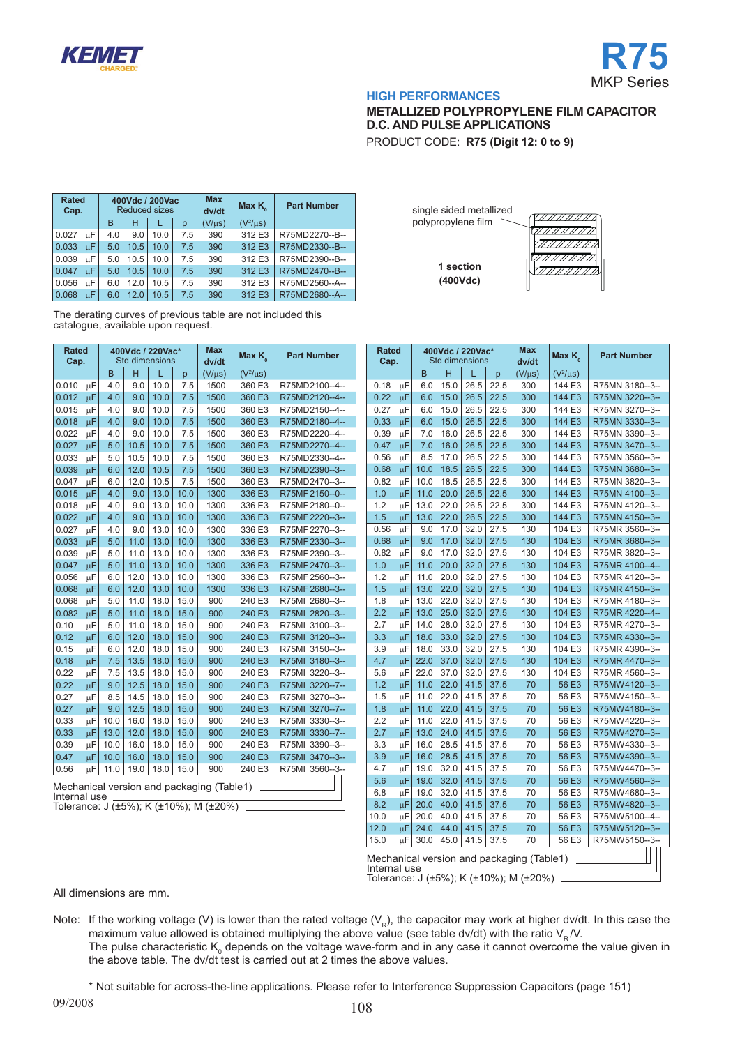



# **METALLIZED POLYPROPYLENE FILM CAPACITOR D.C. AND PULSE APPLICATIONS**

PRODUCT CODE: **R75 (Digit 12: 0 to 9)**

| <b>Rated</b><br>Cap. |    |     | 400Vdc / 200Vac<br><b>Reduced sizes</b> |      |     | <b>Max</b><br>dv/dt | Max $K_{\alpha}$ | <b>Part Number</b> |
|----------------------|----|-----|-----------------------------------------|------|-----|---------------------|------------------|--------------------|
|                      |    | B   | н                                       |      | p   | $(V/\mu s)$         | $(V^2/\mu s)$    |                    |
| 0.027                | цF | 4.0 | 9.0                                     | 10.0 | 7.5 | 390                 | 312 E3           | R75MD2270--B--     |
| 0.033                | uΕ | 5.0 | 10.5                                    | 10.0 | 7.5 | 390                 | 312 E3           | R75MD2330--B--     |
| 0.039                | цF | 5.0 | 10.5                                    | 10.0 | 7.5 | 390                 | 312 E3           | R75MD2390--B--     |
| 0.047                | uΕ | 5.0 | 10.5                                    | 10.0 | 7.5 | 390                 | 312 E3           | R75MD2470--B--     |
| 0.056                | uΕ | 6.0 | 12.0                                    | 10.5 | 7.5 | 390                 | 312 E3           | R75MD2560--A--     |
| 0.068                | uΕ | 6.0 | 12.0                                    | 10.5 | 7.5 | 390                 | 312 E3           | R75MD2680--A--     |

single sided metallized 777 77 77 77 77 polypropylene film **1 section (400Vdc)**

The derating curves of previous table are not included this catalogue, available upon request.

| <b>Rated</b><br>Cap. |                                           |      | 400Vdc / 220Vac*<br><b>Std dimensions</b> |      |      | <b>Max</b><br>dv/dt | Max $K_{\alpha}$ | <b>Part Number</b> |  |  |  |
|----------------------|-------------------------------------------|------|-------------------------------------------|------|------|---------------------|------------------|--------------------|--|--|--|
|                      |                                           | B    | H                                         | L    | p    | $(V/\mu s)$         | $(V^2/\mu s)$    |                    |  |  |  |
| 0.010                | μF                                        | 4.0  | 9.0                                       | 10.0 | 7.5  | 1500                | 360 E3           | R75MD2100--4--     |  |  |  |
| 0.012                | μF                                        | 4.0  | 9.0                                       | 10.0 | 7.5  | 1500                | 360 E3           | R75MD2120--4--     |  |  |  |
| 0.015                | μF                                        | 4.0  | 9.0                                       | 10.0 | 7.5  | 1500                | 360 E3           | R75MD2150--4--     |  |  |  |
| 0.018                | μF                                        | 4.0  | 9.0                                       | 10.0 | 7.5  | 1500                | 360 E3           | R75MD2180--4--     |  |  |  |
| 0.022                | μF                                        | 4.0  | 9.0                                       | 10.0 | 7.5  | 1500                | 360 E3           | R75MD2220--4--     |  |  |  |
| 0.027                | μF                                        | 5.0  | 10.5                                      | 10.0 | 7.5  | 1500                | 360 E3           | R75MD2270--4--     |  |  |  |
| 0.033                | μF                                        | 5.0  | 10.5                                      | 10.0 | 7.5  | 1500                | 360 E3           | R75MD2330--4--     |  |  |  |
| 0.039                | μF                                        | 6.0  | 12.0                                      | 10.5 | 7.5  | 1500                | 360 E3           | R75MD2390--3--     |  |  |  |
| 0.047                | μF                                        | 6.0  | 12.0                                      | 10.5 | 7.5  | 1500                | 360 E3           | R75MD2470--3--     |  |  |  |
| 0.015                | μF                                        | 4.0  | 9.0                                       | 13.0 | 10.0 | 1300                | 336 E3           | R75MF 2150--0--    |  |  |  |
| 0.018                | μF                                        | 4.0  | 9.0                                       | 13.0 | 10.0 | 1300                | 336 E3           | R75MF 2180--0--    |  |  |  |
| 0.022                | μF                                        | 4.0  | 9.0                                       | 13.0 | 10.0 | 1300                | 336 E3           | R75MF 2220--3--    |  |  |  |
| 0.027                | μF                                        | 4.0  | 9.0                                       | 13.0 | 10.0 | 1300                | 336 E3           | R75MF 2270--3--    |  |  |  |
| 0.033                | μF                                        | 5.0  | 11.0                                      | 13.0 | 10.0 | 1300                | 336 E3           | R75MF 2330--3--    |  |  |  |
| 0.039                | μF                                        | 5.0  | 11.0                                      | 13.0 | 10.0 | 1300                | 336 E3           | R75MF 2390--3--    |  |  |  |
| 0.047                | μF                                        | 5.0  | 11.0                                      | 13.0 | 10.0 | 1300                | 336 E3           | R75MF 2470--3--    |  |  |  |
| 0.056                | μF                                        | 6.0  | 12.0                                      | 13.0 | 10.0 | 1300                | 336 E3           | R75MF 2560--3--    |  |  |  |
| 0.068                | μF                                        | 6.0  | 12.0                                      | 13.0 | 10.0 | 1300                | 336 E3           | R75MF 2680--3--    |  |  |  |
| 0.068                | μF                                        | 5.0  | 11.0                                      | 18.0 | 15.0 | 900                 | 240 E3           | R75MI 2680--3--    |  |  |  |
| 0.082                | μF                                        | 5.0  | 11.0                                      | 18.0 | 15.0 | 900                 | 240 E3           | R75MI 2820--3--    |  |  |  |
| 0.10                 | μF                                        | 5.0  | 11.0                                      | 18.0 | 15.0 | 900                 | 240 E3           | R75MI 3100--3--    |  |  |  |
| 0.12                 | μF                                        | 6.0  | 12.0                                      | 18.0 | 15.0 | 900                 | 240 E3           | R75MI 3120--3--    |  |  |  |
| 0.15                 | μF                                        | 6.0  | 12.0                                      | 18.0 | 15.0 | 900                 | 240 E3           | R75MI 3150--3--    |  |  |  |
| 0.18                 | μF                                        | 7.5  | 13.5                                      | 18.0 | 15.0 | 900                 | 240 E3           | R75MI 3180--3--    |  |  |  |
| 0.22                 | μF                                        | 7.5  | 13.5                                      | 18.0 | 15.0 | 900                 | 240 E3           | R75MI 3220--3--    |  |  |  |
| 0.22                 | μF                                        | 9.0  | 12.5                                      | 18.0 | 15.0 | 900                 | 240 E3           | R75MI 3220--7--    |  |  |  |
| 0.27                 | μF                                        | 8.5  | 14.5                                      | 18.0 | 15.0 | 900                 | 240 E3           | R75MI 3270--3--    |  |  |  |
| 0.27                 | μF                                        | 9.0  | 12.5                                      | 18.0 | 15.0 | 900                 | 240 E3           | R75MI 3270--7--    |  |  |  |
| 0.33                 | μF                                        | 10.0 | 16.0                                      | 18.0 | 15.0 | 900                 | 240 E3           | R75MI 3330--3--    |  |  |  |
| 0.33                 | μF                                        | 13.0 | 12.0                                      | 18.0 | 15.0 | 900                 | 240 E3           | R75MI 3330--7--    |  |  |  |
| 0.39                 | μF                                        | 10.0 | 16.0                                      | 18.0 | 15.0 | 900                 | 240 E3           | R75MI 3390--3--    |  |  |  |
| 0.47                 | μF                                        | 10.0 | 16.0                                      | 18.0 | 15.0 | 900                 | 240 E3           | R75MI 3470--3--    |  |  |  |
| 0.56                 | μF                                        | 11.0 | 19.0                                      | 18.0 | 15.0 | 900                 | 240 E3           | R75MI 3560--3--    |  |  |  |
|                      | Mechanical version and packaging (Table1) |      |                                           |      |      |                     |                  |                    |  |  |  |

Internal use Tolerance: J  $(\pm 5\%)$ ; K  $(\pm 10\%)$ ; M  $(\pm 20\%)$ 

| <b>Rated</b><br>Cap. |    |              |      | 400Vdc / 220Vac*<br>Std dimensions |      | <b>Max</b><br>dv/dt                                                                 | Max $K_{\scriptscriptstyle\alpha}$ | <b>Part Number</b> |
|----------------------|----|--------------|------|------------------------------------|------|-------------------------------------------------------------------------------------|------------------------------------|--------------------|
|                      |    | <sub>B</sub> | н    | L                                  | p    | $(V/\mu s)$                                                                         | $(V^2/\mu s)$                      |                    |
| 0.18                 | μF | 6.0          | 15.0 | 26.5                               | 22.5 | 300                                                                                 | 144 E3                             | R75MN 3180--3--    |
| 0.22                 | μF | 6.0          | 15.0 | 26.5                               | 22.5 | 300                                                                                 | 144 E3                             | R75MN 3220--3--    |
| 0.27                 | цF | 6.0          | 15.0 | 26.5                               | 22.5 | 300                                                                                 | 144 E3                             | R75MN 3270--3--    |
| 0.33                 | μF | 6.0          | 15.0 | 26.5                               | 22.5 | 300                                                                                 | 144 E3                             | R75MN 3330--3--    |
| 0.39                 | μF | 7.0          | 16.0 | 26.5                               | 22.5 | 300                                                                                 | 144 E3                             | R75MN 3390--3--    |
| 0.47                 | μF | 7.0          | 16.0 | 26.5                               | 22.5 | 300                                                                                 | 144 E3                             | R75MN 3470--3--    |
| 0.56                 | μF | 8.5          | 17.0 | 26.5                               | 22.5 | 300                                                                                 | 144 E3                             | R75MN 3560--3--    |
| 0.68                 | μF | 10.0         | 18.5 | 26.5                               | 22.5 | 300                                                                                 | 144 E3                             | R75MN 3680--3--    |
| 0.82                 | μF | 10.0         | 18.5 | 26.5                               | 22.5 | 300                                                                                 | 144 E3                             | R75MN 3820--3--    |
| 1.0                  | μF | 11.0         | 20.0 | 26.5                               | 22.5 | 300                                                                                 | 144 E3                             | R75MN 4100--3--    |
| 1.2                  | μF | 13.0         | 22.0 | 26.5                               | 22.5 | 300                                                                                 | 144 E3                             | R75MN 4120--3--    |
| 1.5                  | μF | 13.0         | 22.0 | 26.5                               | 22.5 | 300                                                                                 | 144 E3                             | R75MN 4150--3--    |
| 0.56                 | μF | 9.0          | 17.0 | 32.0                               | 27.5 | 130                                                                                 | 104 E3                             | R75MR 3560--3--    |
| 0.68                 | цF | 9.0          | 17.0 | 32.0                               | 27.5 | 130                                                                                 | 104 E3                             | R75MR 3680--3--    |
| 0.82                 | μF | 9.0          | 17.0 | 32.0                               | 27.5 | 130                                                                                 | 104 E3                             | R75MR 3820--3--    |
| 1.0                  | μF | 11.0         | 20.0 | 32.0                               | 27.5 | 130                                                                                 | 104 E3                             | R75MR 4100--4--    |
| 1.2                  | μF | 11.0         | 20.0 | 32.0                               | 27.5 | 130                                                                                 | 104 E3                             | R75MR 4120--3--    |
| 1.5                  | μF | 13.0         | 22.0 | 32.0                               | 27.5 | 130                                                                                 | 104 E3                             | R75MR 4150--3--    |
| 1.8                  | μF | 13.0         | 22.0 | 32.0                               | 27.5 | 130                                                                                 | 104 E3                             | R75MR 4180--3--    |
| 2.2                  | μF | 13.0         | 25.0 | 32.0                               | 27.5 | 130                                                                                 | 104 E3                             | R75MR 4220--4--    |
| 2.7                  | μF | 14.0         | 28.0 | 32.0                               | 27.5 | 130                                                                                 | 104 E3                             | R75MR 4270--3--    |
| 3.3                  | μF | 18.0         | 33.0 | 32.0                               | 27.5 | 130                                                                                 | 104 E3                             | R75MR 4330--3--    |
| 3.9                  | μF | 18.0         | 33.0 | 32.0                               | 27.5 | 130                                                                                 | 104 E3                             | R75MR 4390--3--    |
| 4.7                  | μF | 22.0         | 37.0 | 32.0                               | 27.5 | 130                                                                                 | 104 E3                             | R75MR 4470--3--    |
| 5.6                  | μF | 22.0         | 37.0 | 32.0                               | 27.5 | 130                                                                                 | 104 E3                             | R75MR 4560--3--    |
| 1.2                  | μF | 11.0         | 22.0 | 41.5                               | 37.5 | 70                                                                                  | 56 E3                              | R75MW4120--3--     |
| 1.5                  | μF | 11.0         | 22.0 | 41.5                               | 37.5 | 70                                                                                  | 56 E3                              | R75MW4150--3--     |
| 1.8                  | μF | 11.0         | 22.0 | 41.5                               | 37.5 | 70                                                                                  | 56 E3                              | R75MW4180--3--     |
| 2.2                  | μF | 11.0         | 22.0 | 41.5                               | 37.5 | 70                                                                                  | 56 E3                              | R75MW4220--3--     |
| 2.7                  | μF | 13.0         | 24.0 | 41.5                               | 37.5 | 70                                                                                  | 56 E3                              | R75MW4270--3--     |
| 3.3                  | μF | 16.0         | 28.5 | 41.5                               | 37.5 | 70                                                                                  | 56 E3                              | R75MW4330--3--     |
| 3.9                  | μF | 16.0         | 28.5 | 41.5                               | 37.5 | 70                                                                                  | 56 E3                              | R75MW4390--3--     |
| 4.7                  | μF | 19.0         | 32.0 | 41.5                               | 37.5 | 70                                                                                  | 56 E3                              | R75MW4470--3--     |
| 5.6                  | μF | 19.0         | 32.0 | 41.5                               | 37.5 | 70                                                                                  | 56 E3                              | R75MW4560--3--     |
| 6.8                  | μF | 19.0         | 32.0 | 41.5                               | 37.5 | 70                                                                                  | 56 E3                              | R75MW4680--3--     |
| 8.2                  | μF | 20.0         | 40.0 | 41.5                               | 37.5 | 70                                                                                  | 56 E3                              | R75MW4820--3--     |
| 10.0                 | μF | 20.0         | 40.0 | 41.5                               | 37.5 | 70                                                                                  | 56 E3                              | R75MW5100--4--     |
| 12.0                 | μF | 24.0         | 44.0 | 41.5                               | 37.5 | 70                                                                                  | 56 E3                              | R75MW5120--3--     |
| 15.0                 | μF | 30.0         | 45.0 | 41.5                               | 37.5 | 70                                                                                  | 56 E3                              | R75MW5150--3--     |
| Internal use         |    |              |      |                                    |      | Mechanical version and packaging (Table1)<br>Tolerance: J (±5%); K (±10%); M (±20%) |                                    |                    |

All dimensions are mm.

Note: If the working voltage (V) is lower than the rated voltage ( $V_R$ ), the capacitor may work at higher dv/dt. In this case the maximum value allowed is obtained multiplying the above value (see table dv/dt) with the ratio  $V_{\rm B}$  /V. The pulse characteristic K<sub>0</sub> depends on the voltage wave-form and in any case it cannot overcome the value given in the above table. The dv/dt test is carried out at 2 times the above values.

\* Not suitable for across-the-line applications. Please refer to Interference Suppression Capacitors (page 151)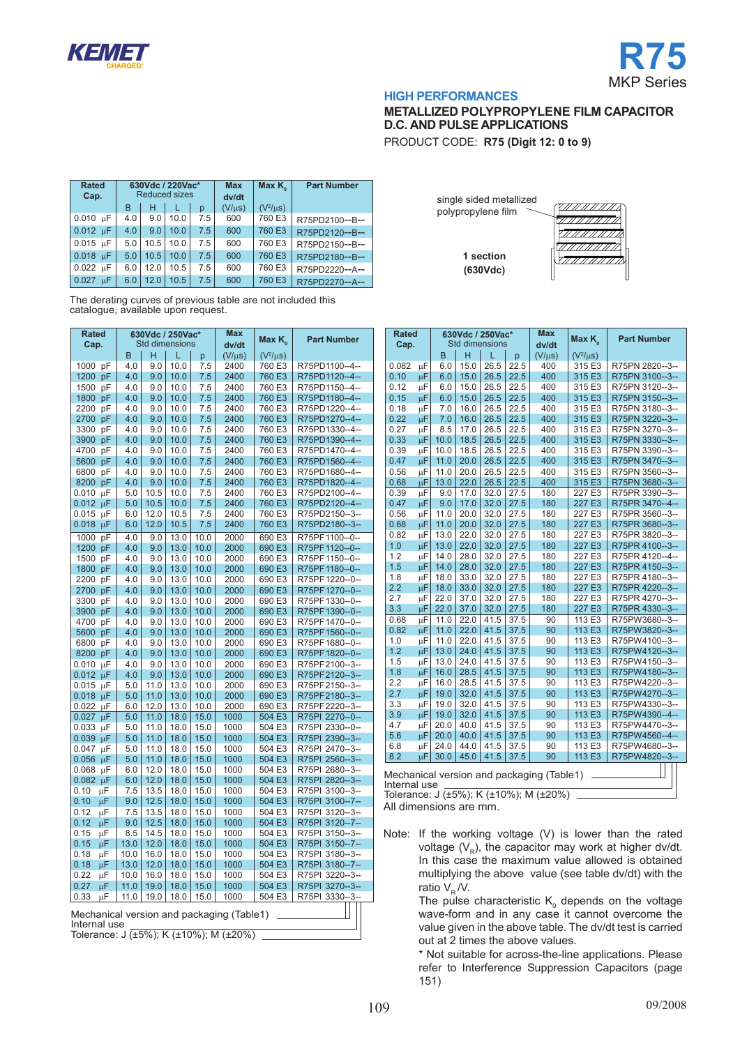



**METALLIZED POLYPROPYLENE FILM CAPACITOR D.C. AND PULSE APPLICATIONS**

PRODUCT CODE: **R75 (Digit 12: 0 to 9)**

| <b>Rated</b><br>Cap.        |     | 630Vdc / 220Vac*<br><b>Reduced sizes</b> |      |     | <b>Max</b><br>dv/dt | Max $K_{\alpha}$ | <b>Part Number</b> |
|-----------------------------|-----|------------------------------------------|------|-----|---------------------|------------------|--------------------|
|                             | в   | н                                        |      | р   | $(V/\mu s)$         | $(V^2/\mu s)$    |                    |
| $0.010 \text{ }\mu\text{F}$ | 4.0 | 9.0                                      | 10.0 | 7.5 | 600                 | 760 E3           | R75PD2100--B--     |
| $0.012 \text{ }\mu\text{F}$ | 4.0 | 9.0                                      | 10.0 | 7.5 | 600                 | 760 E3           | R75PD2120--B--     |
| $0.015$ uF                  | 5.0 | 10.5                                     | 10.0 | 7.5 | 600                 | 760 E3           | R75PD2150--B--     |
| $0.018$ uF                  | 5.0 | 10.5                                     | 10.0 | 7.5 | 600                 | 760 E3           | R75PD2180--B--     |
| $0.022 \text{ }\mu\text{F}$ | 6.0 | 12.0                                     | 10.5 | 7.5 | 600                 | 760 E3           | R75PD2220--A--     |
| 0.027<br>uΕ.                | 6.0 | 12.0                                     | 10.5 | 7.5 | 600                 | 760 E3           | R75PD2270--A--     |

The derating curves of previous table are not included this catalogue, available upon request.

|               | Rated<br>630Vdc / 250Vac* |            |            |                       |              | Max                                       | Max $K_{0}$      | <b>Part Number</b>               |  |
|---------------|---------------------------|------------|------------|-----------------------|--------------|-------------------------------------------|------------------|----------------------------------|--|
| Cap.          |                           |            |            | <b>Std dimensions</b> |              | dv/dt                                     |                  |                                  |  |
|               |                           | B          | н          | L                     | p            | $(V/\mu s)$                               | $(V^2/\mu s)$    |                                  |  |
| 1000          | pF                        | 4.0        | 9.0        | 10.0                  | 7.5          | 2400                                      | 760 E3           | R75PD1100--4--                   |  |
| 1200          | pF                        | 4.0        | 9.0        | 10.0                  | 7.5          | 2400                                      | 760 E3           | R75PD1120--4--                   |  |
| 1500          | рF                        | 4.0        | 9.0        | 10.0                  | 7.5          | 2400                                      | 760 E3           | R75PD1150--4--                   |  |
| 1800          | pF                        | 4.0        | 9.0        | 10.0                  | 7.5          | 2400                                      | 760 E3           | R75PD1180--4--                   |  |
| 2200          | pF                        | 4.0        | 9.0        | 10.0                  | 7.5          | 2400                                      | 760 E3           | R75PD1220--4--                   |  |
| 2700          | pF                        | 4.0        | 9.0        | 10.0                  | 7.5          | 2400                                      | 760 E3           | R75PD1270--4--                   |  |
| 3300          | рF                        | 4.0<br>4.0 | 9.0        | 10.0                  | 7.5          | 2400<br>2400                              | 760 E3           | R75PD1330--4--                   |  |
| 3900          | pF                        | 4.0        | 9.0        | 10.0                  | 7.5          |                                           | 760 E3<br>760 E3 | R75PD1390--4--<br>R75PD1470--4-- |  |
| 4700<br>5600  | pF<br>pF                  | 4.0        | 9.0<br>9.0 | 10.0<br>10.0          | 7.5<br>7.5   | 2400<br>2400                              | 760 E3           | R75PD1560--4--                   |  |
| 6800          | рF                        | 4.0        | 9.0        | 10.0                  | 7.5          | 2400                                      | 760 E3           | R75PD1680--4--                   |  |
| 8200          | pF                        | 4.0        | 9.0        | 10.0                  | 7.5          | 2400                                      | 760 E3           | R75PD1820--4--                   |  |
| 0.010         | μF                        | 5.0        | 10.5       | 10.0                  | 7.5          | 2400                                      | 760 E3           | R75PD2100--4--                   |  |
| 0.012         | μF                        | 5.0        | 10.5       | 10.0                  | 7.5          | 2400                                      | 760 E3           | R75PD2120--4--                   |  |
| 0.015         | μF                        | 6.0        | 12.0       | 10.5                  | 7.5          | 2400                                      | 760 E3           | R75PD2150--3--                   |  |
| 0.018         | μF                        | 6.0        | 12.0       | 10.5                  | 7.5          | 2400                                      | 760 E3           | R75PD2180--3--                   |  |
|               |                           |            |            |                       |              |                                           |                  |                                  |  |
| 1000          | pF                        | 4.0        | 9.0        | 13.0                  | 10.0         | 2000                                      | 690 E3           | R75PF1100--0--                   |  |
| 1200          | pF                        | 4.0        | 9.0        | 13.0                  | 10.0         | 2000                                      | 690 E3           | R75PF1120-0-                     |  |
| 1500          | рF                        | 4.0        | 9.0        | 13.0                  | 10.0         | 2000                                      | 690 E3           | R75PF1150--0--                   |  |
| 1800          | pF                        | 4.0        | 9.0        | 13.0                  | 10.0         | 2000                                      | 690 E3           | R75PF1180--0--                   |  |
| 2200          | pF                        | 4.0        | 9.0        | 13.0                  | 10.0         | 2000                                      | 690 E3           | R75PF1220--0--                   |  |
| 2700          | pF                        | 4.0        | 9.0        | 13.0                  | 10.0         | 2000                                      | 690 E3           | R75PF1270--0--                   |  |
| 3300          | pF                        | 4.0        | 9.0        | 13.0                  | 10.0         | 2000                                      | 690 E3           | R75PF1330--0--                   |  |
| 3900          | pF                        | 4.0        | 9.0        | 13.0                  | 10.0         | 2000                                      | 690 E3           | R75PF1390--0--                   |  |
| 4700          | рF                        | 4.0        | 9.0        | 13.0                  | 10.0         | 2000                                      | 690 E3           | R75PF1470--0--                   |  |
| 5600          | pF                        | 4.0        | 9.0        | 13.0                  | 10.0         | 2000                                      | 690 E3           | R75PF1560--0--                   |  |
| 6800<br>8200  | pF<br>pF                  | 4.0<br>4.0 | 9.0<br>9.0 | 13.0<br>13.0          | 10.0<br>10.0 | 2000<br>2000                              | 690 E3<br>690 E3 | R75PF1680--0--<br>R75PF1820--0-- |  |
| 0.010         | цF                        | 4.0        | 9.0        | 13.0                  | 10.0         | 2000                                      | 690 E3           | R75PF2100--3--                   |  |
| 0.012         | μF                        | 4.0        | 9.0        | 13.0                  | 10.0         | 2000                                      | 690 E3           | R75PF2120--3--                   |  |
| 0.015         | μF                        | 5.0        | 11.0       | 13.0                  | 10.0         | 2000                                      | 690 E3           | R75PF2150--3--                   |  |
| 0.018         | μF                        | 5.0        | 11.0       | 13.0                  | 10.0         | 2000                                      | 690 E3           | R75PF2180--3--                   |  |
| 0.022         | μF                        | 6.0        | 12.0       | 13.0                  | 10.0         | 2000                                      | 690 E3           | R75PF2220--3--                   |  |
| 0.027         | μF                        | 5.0        | 11.0       | 18.0                  | 15.0         | 1000                                      | 504 E3           | R75PI 2270--0--                  |  |
| 0.033         | μF                        | 5.0        | 11.0       | 18.0                  | 15.0         | 1000                                      | 504 E3           | R75PI 2330--0--                  |  |
| 0.039         | μF                        | 5.0        | 11.0       | 18.0                  | 15.0         | 1000                                      | 504 E3           | R75PI 2390-3-                    |  |
| 0.047         | μF                        | 5.0        | 11.0       | 18.0                  | 15.0         | 1000                                      | 504 E3           | R75PI 2470--3--                  |  |
| 0.056         | μF                        | 5.0        | 11.0       | 18.0                  | 15.0         | 1000                                      | 504 E3           | R75PI 2560--3--                  |  |
| 0.068         | μF                        | 6.0        | 12.0       | 18.0                  | 15.0         | 1000                                      | 504 E3           | R75PI 2680--3--                  |  |
| $0.082 \mu F$ |                           | 6.0        | 12.0       | 18.0                  | 15.0         | 1000                                      | 504 E3           | R75PI 2820--3--                  |  |
| 0.10          | μF                        | 7.5        | 13.5       | 18.0                  | 15.0         | 1000                                      | 504 E3           | R75PI 3100--3--                  |  |
| 0.10          | uΕ.                       | 9.0        | 12.5       | 18.0                  | 15.0         | 1000                                      | 504 E3           | R75PI 3100--7--                  |  |
| 0.12          | μF                        | 7.5        | 13.5       | 18.0                  | 15.0         | 1000                                      | 504 E3           | R75PI 3120--3--                  |  |
| 0.12          | μF                        | 9.0        | 12.5       | 18.0                  | 15.0         | 1000                                      | 504 E3           | R75PI 3120--7--                  |  |
| 0.15          | μF                        | 8.5        | 14.5       | 18.0                  | 15.0         | 1000                                      | 504 E3           | R75PI 3150--3--                  |  |
| 0.15          | μF                        | 13.0       | 12.0       | 18.0                  | 15.0         | 1000                                      | 504 E3           | R75PI 3150--7--                  |  |
| 0.18          | μF                        | 10.0       | 16.0       | 18.0                  | 15.0         | 1000                                      | 504 E3           | R75PI 3180--3--                  |  |
| 0.18          | μF                        | 13.0       | 12.0       | 18.0                  | 15.0         | 1000                                      | 504 E3           | R75PI 3180--7--                  |  |
| 0.22          | μF                        | 10.0       | 16.0       | 18.0                  | 15.0         | 1000                                      | 504 E3           | R75PI 3220--3--                  |  |
| 0.27          | μF                        | 11.0       | 19.0       | 18.0                  | 15.0         | 1000                                      | 504 E3           | R75PI 3270--3--                  |  |
| 0.33          | μF                        | 11.0       | 19.0       | 18.0                  | 15.0         | 1000                                      | 504 E3           | R75PI 3330--3--                  |  |
|               |                           |            |            |                       |              |                                           |                  |                                  |  |
| Internal use  |                           |            |            |                       |              | Mechanical version and packaging (Table1) |                  |                                  |  |

Tolerance: J  $\overline{(±5\%)}$ ; K  $\overline{(+10\%)}$ ; M  $\overline{(+20\%)}$ 

| single sided metallized<br>polypropylene film |  |
|-----------------------------------------------|--|
|                                               |  |
| 1 section<br>(630Vdc)                         |  |

| <b>Rated</b> |    |                       |      | 630Vdc / 250Vac* |       | <b>Max</b>  | Max K <sub>o</sub> | <b>Part Number</b> |  |
|--------------|----|-----------------------|------|------------------|-------|-------------|--------------------|--------------------|--|
| Cap.         |    | <b>Std dimensions</b> |      |                  | dv/dt |             |                    |                    |  |
|              |    | B                     | H    | L                | p     | $(V/\mu s)$ | $(V^2/\mu s)$      |                    |  |
| 0.082        | μF | 6.0                   | 15.0 | 26.5             | 22.5  | 400         | 315 E3             | R75PN 2820--3--    |  |
| 0.10         | μF | 6.0                   | 15.0 | 26.5             | 22.5  | 400         | 315 E3             | R75PN 3100--3--    |  |
| 0.12         | μF | 6.0                   | 15.0 | 26.5             | 22.5  | 400         | 315 E3             | R75PN 3120--3--    |  |
| 0.15         | μF | 6.0                   | 15.0 | 26.5             | 22.5  | 400         | 315 E3             | R75PN 3150--3--    |  |
| 0.18         | μF | 7.0                   | 16.0 | 26.5             | 22.5  | 400         | 315 E3             | R75PN 3180--3--    |  |
| 0.22         | μF | 7.0                   | 16.0 | 26.5             | 22.5  | 400         | 315 E3             | R75PN 3220--3--    |  |
| 0.27         | μF | 8.5                   | 17.0 | 26.5             | 22.5  | 400         | 315 E3             | R75PN 3270--3--    |  |
| 0.33         | μF | 10.0                  | 18.5 | 26.5             | 22.5  | 400         | 315 E3             | R75PN 3330--3--    |  |
| 0.39         | μF | 10.0                  | 18.5 | 26.5             | 22.5  | 400         | 315 E3             | R75PN 3390--3--    |  |
| 0.47         | μF | 11.0                  | 20.0 | 26.5             | 22.5  | 400         | 315 E3             | R75PN 3470--3--    |  |
| 0.56         | μF | 11.0                  | 20.0 | 26.5             | 22.5  | 400         | 315 E3             | R75PN 3560--3--    |  |
| 0.68         | μF | 13.0                  | 22.0 | 26.5             | 22.5  | 400         | 315 E3             | R75PN 3680--3--    |  |
| 0.39         | μF | 9.0                   | 17.0 | 32.0             | 27.5  | 180         | 227 E3             | R75PR 3390--3--    |  |
| 0.47         | μF | 9.0                   | 17.0 | 32.0             | 27.5  | 180         | 227 E3             | R75PR 3470--4--    |  |
| 0.56         | μF | 11.0                  | 20.0 | 32.0             | 27.5  | 180         | 227 E3             | R75PR 3560--3--    |  |
| 0.68         | μF | 11.0                  | 20.0 | 32.0             | 27.5  | 180         | 227 E3             | R75PR 3680--3--    |  |
| 0.82         | μF | 13.0                  | 22.0 | 32.0             | 27.5  | 180         | 227 E3             | R75PR 3820--3--    |  |
| 1.0          | μF | 13.0                  | 22.0 | 32.0             | 27.5  | 180         | 227 E3             | R75PR 4100--3--    |  |
| 1.2          | μF | 14.0                  | 28.0 | 32.0             | 27.5  | 180         | 227 E3             | R75PR 4120--4--    |  |
| 1.5          | μF | 14.0                  | 28.0 | 32.0             | 27.5  | 180         | 227 E3             | R75PR 4150-3--     |  |
| 1.8          | μF | 18.0                  | 33.0 | 32.0             | 27.5  | 180         | 227 E3             | R75PR 4180--3--    |  |
| 2.2          | μF | 18.0                  | 33.0 | 32.0             | 27.5  | 180         | 227 E3             | R75PR 4220--3--    |  |
| 2.7          | μF | 22.0                  | 37.0 | 32.0             | 27.5  | 180         | 227 E3             | R75PR 4270--3--    |  |
| 3.3          | μF | 22.0                  | 37.0 | 32.0             | 27.5  | 180         | 227 E3             | R75PR 4330--3--    |  |
| 0.68         | μF | 11.0                  | 22.0 | 41.5             | 37.5  | 90          | 113 E3             | R75PW3680--3--     |  |
| 0.82         | μF | 11.0                  | 22.0 | 41.5             | 37.5  | 90          | 113 E3             | R75PW3820--3--     |  |
| 1.0          | μF | 11.0                  | 22.0 | 41.5             | 37.5  | 90          | 113 E3             | R75PW4100--3--     |  |
| 1.2          | μF | 13.0                  | 24.0 | 41.5             | 37.5  | 90          | 113 E3             | R75PW4120--3--     |  |
| 1.5          | μF | 13.0                  | 24.0 | 41.5             | 37.5  | 90          | 113 E3             | R75PW4150--3--     |  |
| 1.8          | μF | 16.0                  | 28.5 | 41.5             | 37.5  | 90          | 113 E3             | R75PW4180--3--     |  |
| 2.2          | μF | 16.0                  | 28.5 | 41.5             | 37.5  | 90          | 113 E3             | R75PW4220--3--     |  |
| 2.7          | μF | 19.0                  | 32.0 | 41.5             | 37.5  | 90          | 113 E3             | R75PW4270--3--     |  |
| 3.3          | μF | 19.0                  | 32.0 | 41.5             | 37.5  | 90          | 113 E3             | R75PW4330--3--     |  |
| 3.9          | μF | 19.0                  | 32.0 | 41.5             | 37.5  | 90          | 113 E3             | R75PW4390--4--     |  |
| 4.7          | μF | 20.0                  | 40.0 | 41.5             | 37.5  | 90          | 113 E3             | R75PW4470--3--     |  |
| 5.6          | μF | 20.0                  | 40.0 | 41.5             | 37.5  | 90          | 113 E3             | R75PW4560--4--     |  |
| 6.8          | μF | 24.0                  | 44.0 | 41.5             | 37.5  | 90          | 113 E3             | R75PW4680--3--     |  |
| 8.2          | μF | 30.0                  | 45.0 | 41.5             | 37.5  | 90          | 113 E3             | R75PW4820--3--     |  |
|              |    |                       |      |                  |       |             |                    |                    |  |

Mechanical version and packaging (Table1) Internal use

Tolerance:  $J (±5%)$ ; K  $(±10%)$ ; M  $(±20%)$ All dimensions are mm.

Note: If the working voltage (V) is lower than the rated voltage  $(V_R)$ , the capacitor may work at higher dv/dt. In this case the maximum value allowed is obtained multiplying the above value (see table dv/dt) with the ratio  $V_R / V$ .

The pulse characteristic  $K_{0}$  depends on the voltage wave-form and in any case it cannot overcome the value given in the above table. The dv/dt test is carried out at 2 times the above values.

\* Not suitable for across-the-line applications. Please refer to Interference Suppression Capacitors (page 151)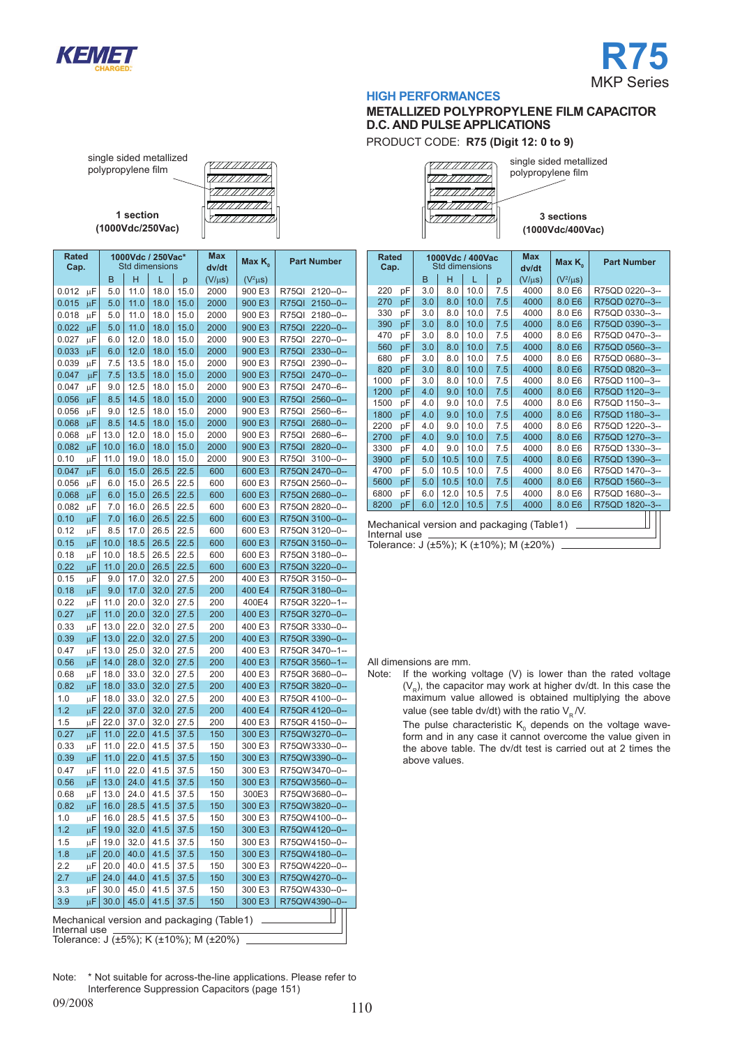



# **METALLIZED POLYPROPYLENE FILM CAPACITOR D.C. AND PULSE APPLICATIONS**

PRODUCT CODE: **R75 (Digit 12: 0 to 9)**

single sided metallized polypropylene film

**1 section (1000Vdc/250Vac)**

| $\left( \frac{1}{2}$         |  |
|------------------------------|--|
|                              |  |
| $\langle 77777777772\rangle$ |  |
| STAANNAD                     |  |

single sided metallized polypropylene film <u>MANMANN</u> 77777777777777 'II II II II II

**3 sections (1000Vdc/400Vac)**

| Rated<br>Cap. |         |      | 1000Vdc / 250Vac*<br><b>Std dimensions</b> |              |           | Max<br>dv/dt                              | Max $K_{\scriptscriptstyle 0}$ | <b>Part Number</b>    |
|---------------|---------|------|--------------------------------------------|--------------|-----------|-------------------------------------------|--------------------------------|-----------------------|
|               |         |      |                                            | L            |           |                                           |                                |                       |
|               |         | в    | н                                          |              | p<br>15.0 | $(V/\mu s)$                               | $(V^2\mu S)$                   |                       |
| 0.012         | μF      | 5.0  | 11.0                                       | 18.0         |           | 2000                                      | 900 E3                         | R75QI<br>2120--0--    |
| 0.015         | μF      | 5.0  | 11.0                                       | 18.0<br>18.0 | 15.0      | 2000<br>2000                              | 900 E3<br>900 E3               | R75QI<br>$2150 - 0 -$ |
| 0.018         | μF      | 5.0  | 11.0                                       |              | 15.0      |                                           |                                | R75QI<br>$2180 - 0 -$ |
| 0.022         | μF      | 5.0  | 11.0                                       | 18.0         | 15.0      | 2000                                      | 900 E3                         | R75QI<br>2220--0--    |
| 0.027         | μF      | 6.0  | 12.0                                       | 18.0         | 15.0      | 2000                                      | 900 E3                         | R75QI<br>$2270 - 0 -$ |
| 0.033         | μF      | 6.0  | 12.0                                       | 18.0         | 15.0      | 2000                                      | 900 E3                         | R75QI<br>2330--0--    |
| 0.039         | μF      | 7.5  | 13.5                                       | 18.0         | 15.0      | 2000                                      | 900 E3                         | R75QI<br>2390--0--    |
| 0.047         | μF      | 7.5  | 13.5                                       | 18.0         | 15.0      | 2000                                      | 900 E3                         | R75QI<br>2470--0--    |
| 0.047         | μF      | 9.0  | 12.5                                       | 18.0         | 15.0      | 2000                                      | 900 E3                         | R75QI<br>2470--6--    |
| 0.056         | μF      | 8.5  | 14.5                                       | 18.0         | 15.0      | 2000                                      | 900 E3                         | R75QI<br>2560--0--    |
| 0.056         | μF      | 9.0  | 12.5                                       | 18.0         | 15.0      | 2000                                      | 900 E3                         | R75QI<br>2560--6--    |
| 0.068         | μF      | 8.5  | 14.5                                       | 18.0         | 15.0      | 2000                                      | 900 E3                         | R75QI<br>2680--0--    |
| 0.068         | μF      | 13.0 | 12.0                                       | 18.0         | 15.0      | 2000                                      | 900 E3                         | R75QI<br>2680--6--    |
| 0.082         | μF      | 10.0 | 16.0                                       | 18.0         | 15.0      | 2000                                      | 900 E3                         | R75QI<br>2820--0--    |
| 0.10          | μF      | 11.0 | 19.0                                       | 18.0         | 15.0      | 2000                                      | 900 E3                         | R75QI<br>$3100 - 0 -$ |
| 0.047         | μF      | 6.0  | 15.0                                       | 26.5         | 22.5      | 600                                       | 600 E3                         | R75QN 2470--0--       |
| 0.056         | μF      | 6.0  | 15.0                                       | 26.5         | 22.5      | 600                                       | 600 E3                         | R75QN 2560--0--       |
| 0.068         | μF      | 6.0  | 15.0                                       | 26.5         | 22.5      | 600                                       | 600 E3                         | R75QN 2680--0--       |
| 0.082         | μF      | 7.0  | 16.0                                       | 26.5         | 22.5      | 600                                       | 600 E3                         | R75QN 2820--0--       |
| 0.10          | μF      | 7.0  | 16.0                                       | 26.5         | 22.5      | 600                                       | 600 E3                         | R75QN 3100--0--       |
| 0.12          | μF      | 8.5  | 17.0                                       | 26.5         | 22.5      | 600                                       | 600 E3                         | R75QN 3120--0--       |
| 0.15          | μF      | 10.0 | 18.5                                       | 26.5         | 22.5      | 600                                       | 600 E3                         | R75QN 3150--0--       |
| 0.18          | μF      | 10.0 | 18.5                                       | 26.5         | 22.5      | 600                                       | 600 E3                         | R75QN 3180--0--       |
| 0.22          | μF      | 11.0 | 20.0                                       | 26.5         | 22.5      | 600                                       | 600 E3                         | R75QN 3220--0--       |
| 0.15          | μF      |      | 17.0                                       | 32.0         |           | 200                                       | 400 E3                         | R75QR 3150--0--       |
|               |         | 9.0  |                                            | 32.0         | 27.5      |                                           | 400 E4                         |                       |
| 0.18          | μF      | 9.0  | 17.0                                       |              | 27.5      | 200                                       |                                | R75QR 3180--0--       |
| 0.22          | μF      | 11.0 | 20.0                                       | 32.0         | 27.5      | 200                                       | 400E4                          | R75QR 3220--1--       |
| 0.27          | μF      | 11.0 | 20.0                                       | 32.0         | 27.5      | 200                                       | 400 E3                         | R75QR 3270--0--       |
| 0.33          | μF      | 13.0 | 22.0                                       | 32.0         | 27.5      | 200                                       | 400 E3                         | R75QR 3330--0--       |
| 0.39          | μF      | 13.0 | 22.0                                       | 32.0         | 27.5      | 200                                       | 400 E3                         | R75QR 3390--0--       |
| 0.47          | μF      | 13.0 | 25.0                                       | 32.0         | 27.5      | 200                                       | 400 E3                         | R75QR 3470--1--       |
| 0.56          | μF      | 14.0 | 28.0                                       | 32.0         | 27.5      | 200                                       | 400 E3                         | R75QR 3560--1--       |
| 0.68          | μF      | 18.0 | 33.0                                       | 32.0         | 27.5      | 200                                       | 400 E3                         | R75QR 3680--0--       |
| 0.82          | μF      | 18.0 | 33.0                                       | 32.0         | 27.5      | 200                                       | 400 E3                         | R75QR 3820--0--       |
| 1.0           | μF      | 18.0 | 33.0                                       | 32.0         | 27.5      | 200                                       | 400 E3                         | R75QR 4100--0--       |
| 1.2           | μF      | 22.0 | 37.0                                       | 32.0         | 27.5      | 200                                       | 400 E4                         | R75QR 4120--0--       |
| 1.5           | μF      | 22.0 | 37.0                                       | 32.0         | 27.5      | 200                                       | 400 E3                         | R75QR 4150--0--       |
| 0.27          | μF      | 11.0 | 22.0                                       | 41.5         | 37.5      | 150                                       | 300 E3                         | R75QW3270--0--        |
| 0.33          | μF      | 11.0 | 22.0                                       | 41.5         | 37.5      | 150                                       | 300 E3                         | R75QW3330--0--        |
| 0.39          | μF      | 11.0 | 22.0                                       | 41.5         | 37.5      | 150                                       | 300 E3                         | R75QW3390--0--        |
| 0.47          | μF      | 11.0 | 22.0                                       | 41.5         | 37.5      | 150                                       | 300 E3                         | R75QW3470--0--        |
| 0.56          | μF      | 13.0 | 24.0                                       | 41.5         | 37.5      | 150                                       | 300 E3                         | R75QW3560--0--        |
| 0.68          | μF      | 13.0 | 24.0                                       | 41.5         | 37.5      | 150                                       | 300E3                          | R75QW3680--0--        |
| 0.82          | $\mu$ F | 16.0 | 28.5                                       | 41.5         | 37.5      | 150                                       | 300 E3                         | R75QW3820--0--        |
| 1.0           | μF      | 16.0 | 28.5                                       | 41.5         | 37.5      | 150                                       | 300 E3                         | R75QW4100--0--        |
| 1.2           | μF      | 19.0 | 32.0                                       | 41.5         | 37.5      | 150                                       | 300 E3                         | R75QW4120--0--        |
| 1.5           | μF      | 19.0 | 32.0                                       | 41.5         | 37.5      | 150                                       | 300 E3                         | R75QW4150--0--        |
| 1.8           |         | 20.0 | 40.0                                       | 41.5         | 37.5      |                                           | 300 E3                         | R75QW4180--0--        |
|               | μF      |      |                                            | 41.5         |           | 150                                       |                                | R75QW4220--0--        |
| 2.2           | μF      | 20.0 | 40.0                                       |              | 37.5      | 150                                       | 300 E3                         |                       |
| 2.7           | μF      | 24.0 | 44.0                                       | 41.5         | 37.5      | 150                                       | 300 E3                         | R75QW4270--0--        |
| 3.3           | μF      | 30.0 | 45.0                                       | 41.5         | 37.5      | 150                                       | 300 E3                         | R75QW4330--0--        |
| 3.9           | μF      | 30.0 | 45.0                                       | 41.5         | 37.5      | 150                                       | 300 E3                         | R75QW4390--0--        |
| Internal use  |         |      |                                            |              |           | Mechanical version and packaging (Table1) |                                |                       |

Mechanical version and packaging (Table1) Internal use **Rated Cap. 1000Vdc / 400Vac**  Std dimensions **Max Max K<sub>0</sub> Part Number** B H L p  $(V/\mu s)$   $(V^2/\mu s)$ <br>3.0 8.0 10.0 7.5 4000 8.0 E6  $(V^2/\mu s)$ 220 pF 3.0 8.0 10.0 7.5 4000 8.0 E6 R75QD 0220--3-- 270 pF 3.0 8.0 10.0 7.5 4000 8.0 E6 R75QD 0270--3--<br>330 pF 3.0 8.0 10.0 7.5 4000 8.0 E6 R75QD 0330--3--330 pF 3.0 8.0 10.0 7.5 4000 8.0 E6 R75QD 0330--3-- 390 pF 3.0 8.0 10.0 7.5 4000 8.0 E6 R75QD 0390--3--  $\begin{array}{|c|c|c|c|c|c|c|}\n\hline\n10.0 & 7.5 & 4000 & 8.0 & \text{R75QD 0470--3--} \\
\hline\n10.0 & 7.5 & 4000 & 8.0 & \text{R75QD 0560--3--} \\
\hline\n\end{array}$ 560 pF 3.0 8.0 10.0 7.5 4000 8.0 E6 R75QD 0560--3-- 680 pF 3.0 8.0 10.0 7.5 4000 8.0 E6 R75QD 0680--3-- 820 pF 3.0 8.0 10.0 7.5 4000 8.0 E6 R75QD 0820--3--<br>1000 pF 3.0 8.0 10.0 7.5 4000 8.0 E6 R75QD 1100--3--1000 pF 3.0 8.0 10.0 7.5 4000 8.0 E6 R75QD 1100--3--<br>1200 pF 4.0 9.0 10.0 7.5 4000 8.0 E6 R75QD 1120--3--1.0 9.0 10.0 7.5 4000 8.0 E6 R75QD 1120--3--<br>10.0 9.0 10.0 7.5 4000 8.0 E6 R75OD 1150--3--1500 pF 4.0 9.0 10.0 7.5 4000 8.0 E6 R75QD 1150--3--<br>1800 pF 4.0 9.0 10.0 7.5 4000 8.0 E6 R75QD 1180--3--1800 pF 4.0 9.0 10.0 7.5 4000 8.0 E6 R75QD 1180-3-<br>2200 pF 4.0 9.0 10.0 7.5 4000 8.0 E6 R75QD 1220-3-4.0 9.0 10.0 7.5 4000 8.0 E6 R75QD 1220--3--2700 pF 4.0 9.0 10.0 7.5 4000 8.0 E6 R75QD 1270--3--3300 pF 4.0 9.0 10.0 7.5 4000 8.0 E6 R75QD 1330--3--<br>3900 pF 5.0 10.5 10.0 7.5 4000 8.0 E6 R75QD 1390--3--3900 pF 5.0 10.5 10.0 7.5 4000 8.0 E6 R75QD 1390-3-4700 pF 5.0 10.5 10.0 7.5 4000 8.0 E6 R75QD 1470-3--4700 pF 5.0 10.5 10.0 7.5 4000 8.0 E6 R75QD 1470--3--<br>5600 pF 5.0 10.5 10.0 7.5 4000 8.0 E6 R75QD 1560--3--R75QD 1560--3--6800 pF 6.0 12.0 10.5 7.5 4000 8.0 E6 R75QD 1680--3--8200 pF 6.0 12.0 10.5 7.5 4000 8.0 E6 R75QD 1820--3-

Tolerance: J (±5%); K (±10%); M (±20%)

All dimensions are mm.<br>Note: If the working If the working voltage  $(V)$  is lower than the rated voltage  $(V<sub>p</sub>)$ , the capacitor may work at higher dv/dt. In this case the maximum value allowed is obtained multiplying the above value (see table dv/dt) with the ratio  $V_R / V$ .

The pulse characteristic  $K_0$  depends on the voltage waveform and in any case it cannot overcome the value given in the above table. The dv/dt test is carried out at 2 times the above values.

Note: \* Not suitable for across-the-line applications. Please refer to Interference Suppression Capacitors (page 151)

Tolerance: J (±5%); K (±10%); M (±20%)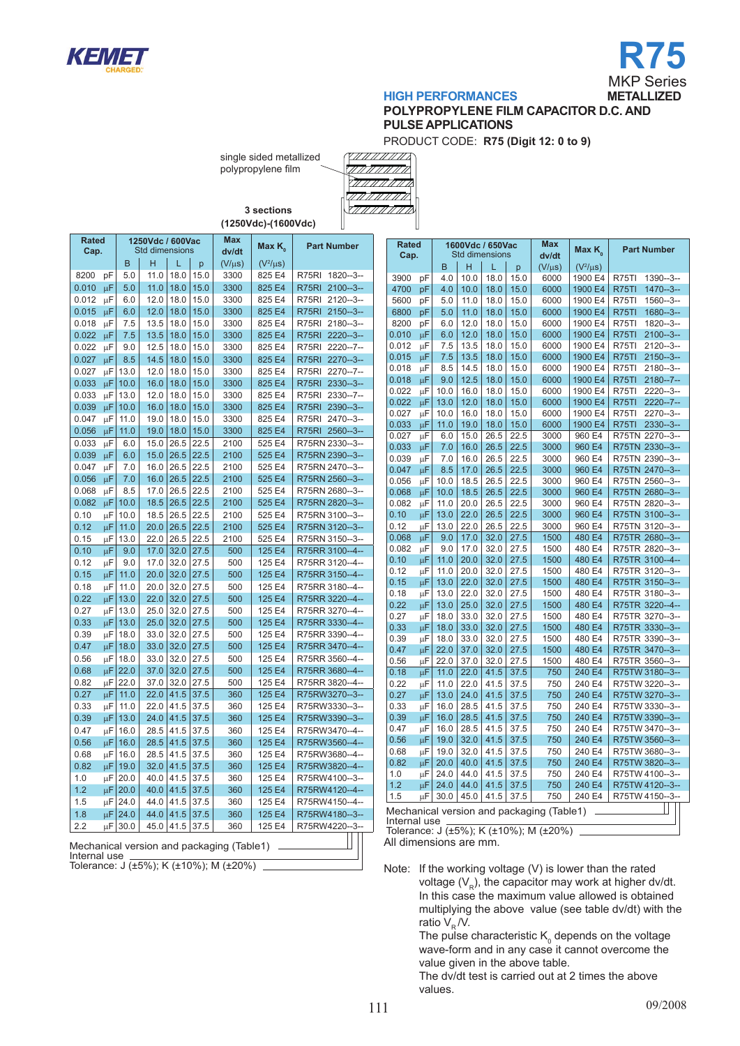



# **HIGH PERFORMANCES METALLIZED**

# **polyPROPYLENE film capacitor D.C. AND PULSE APPLICATIONS**

PRODUCT CODE: **R75 (Digit 12: 0 to 9)**

single sided metallized polypropylene film



**3 sections (1250Vdc)-(1600Vdc)**

| Rated<br>Cap. |    |      | 1250Vdc / 600Vac<br><b>Std dimensions</b> |      |      | Max<br>dv/dt                               | Max $K_{0}$   | <b>Part Number</b>    |  |
|---------------|----|------|-------------------------------------------|------|------|--------------------------------------------|---------------|-----------------------|--|
|               |    | B    | н                                         | L    | p    | $(V/\mu s)$                                | $(V^2/\mu s)$ |                       |  |
| 8200          | pF | 5.0  | 11.0                                      | 18.0 | 15.0 | 3300                                       | 825 E4        | R75RI<br>1820--3--    |  |
| 0.010         | μF | 5.0  | 11.0                                      | 18.0 | 15.0 | 3300                                       | 825 E4        | R75RI<br>$2100 - 3 -$ |  |
| 0.012         | μF | 6.0  | 12.0                                      | 18.0 | 15.0 | 3300                                       | 825 E4        | R75RI<br>$2120 - 3 -$ |  |
| 0.015         | μF | 6.0  | 12.0                                      | 18.0 | 15.0 | 3300                                       | 825 E4        | R75RI<br>$2150 - 3 -$ |  |
| 0.018         | μF | 7.5  | 13.5                                      | 18.0 | 15.0 | 3300                                       | 825 E4        | R75RI<br>$2180 - 3 -$ |  |
| 0.022         | μF | 7.5  | 13.5                                      | 18.0 | 15.0 | 3300                                       | 825 E4        | R75RI<br>$2220 - 3 -$ |  |
| 0.022         | μF | 9.0  | 12.5                                      | 18.0 | 15.0 | 3300                                       | 825 E4        | R75RI<br>$2220 - 7 -$ |  |
| 0.027         | μF | 8.5  | 14.5                                      | 18.0 | 15.0 | 3300                                       | 825 E4        | R75RI<br>$2270 - 3 -$ |  |
| 0.027         | μF | 13.0 | 12.0                                      | 18.0 | 15.0 | 3300                                       | 825 E4        | R75RI<br>$2270 - 7 -$ |  |
| 0.033         | μF | 10.0 | 16.0                                      | 18.0 | 15.0 | 3300                                       | 825 E4        | R75RI<br>2330--3--    |  |
| 0.033         | μF | 13.0 | 12.0                                      | 18.0 | 15.0 | 3300                                       | 825 E4        | R75RI<br>$2330 - 7 -$ |  |
| 0.039         | μF | 10.0 | 16.0                                      | 18.0 | 15.0 | 3300                                       | 825 E4        | R75RI<br>2390-3-      |  |
| 0.047         | μF | 11.0 | 19.0                                      | 18.0 | 15.0 | 3300                                       | 825 E4        | R75RI<br>$2470 - 3 -$ |  |
| 0.056         | μF | 11.0 | 19.0                                      | 18.0 | 15.0 | 3300                                       | 825 E4        | R75RI 2560--3--       |  |
| 0.033         | μF | 6.0  | 15.0                                      | 26.5 | 22.5 | 2100                                       | 525 E4        | R75RN 2330--3--       |  |
| 0.039         | μF | 6.0  | 15.0                                      | 26.5 | 22.5 | 2100                                       | 525 E4        | R75RN 2390--3--       |  |
| 0.047         | μF | 7.0  | 16.0                                      | 26.5 | 22.5 | 2100                                       | 525 E4        | R75RN 2470--3--       |  |
| 0.056         | μF | 7.0  | 16.0                                      | 26.5 | 22.5 | 2100                                       | 525 E4        | R75RN 2560-3--        |  |
| 0.068         | μF | 8.5  | 17.0                                      | 26.5 | 22.5 | 2100                                       | 525 E4        | R75RN 2680--3--       |  |
| 0.082         | μF | 10.0 | 18.5                                      | 26.5 | 22.5 | 2100                                       | 525 E4        | R75RN 2820-3--        |  |
| 0.10          | μF | 10.0 | 18.5                                      | 26.5 | 22.5 | 2100                                       | 525 E4        | R75RN 3100--3--       |  |
| 0.12          | μF | 11.0 | 20.0                                      | 26.5 | 22.5 | 2100                                       | 525 E4        | R75RN 3120--3--       |  |
| 0.15          | μF | 13.0 | 22.0                                      | 26.5 | 22.5 | 2100                                       | 525 E4        | R75RN 3150--3--       |  |
| 0.10          | μF | 9.0  | 17.0                                      | 32.0 | 27.5 | 500                                        | 125 E4        | R75RR 3100--4--       |  |
| 0.12          | μF | 9.0  | 17.0                                      | 32.0 | 27.5 | 500                                        | 125 E4        | R75RR 3120--4--       |  |
| 0.15          | μF | 11.0 | 20.0                                      | 32.0 | 27.5 | 500                                        | 125 E4        | R75RR 3150--4--       |  |
| 0.18          | μF | 11.0 | 20.0                                      | 32.0 | 27.5 | 500                                        | 125 E4        | R75RR 3180--4--       |  |
| 0.22          | μF | 13.0 | 22.0                                      | 32.0 | 27.5 | 500                                        | 125 E4        | R75RR 3220--4--       |  |
| 0.27          | μF | 13.0 | 25.0                                      | 32.0 | 27.5 | 500                                        | 125 E4        | R75RR 3270--4--       |  |
| 0.33          | μF | 13.0 | 25.0                                      | 32.0 | 27.5 | 500                                        | 125 E4        | R75RR 3330--4--       |  |
| 0.39          | μF | 18.0 | 33.0                                      | 32.0 | 27.5 | 500                                        | 125 E4        | R75RR 3390--4--       |  |
| 0.47          | μF | 18.0 | 33.0                                      | 32.0 | 27.5 | 500                                        | 125 E4        | R75RR 3470--4--       |  |
| 0.56          | μF | 18.0 | 33.0                                      | 32.0 | 27.5 | 500                                        | 125 E4        | R75RR 3560--4--       |  |
| 0.68          | μF | 22.0 | 37.0                                      | 32.0 | 27.5 | 500                                        | 125 E4        | R75RR 3680--4--       |  |
| 0.82          | μF | 22.0 | 37.0                                      | 32.0 | 27.5 | 500                                        | 125 E4        | R75RR 3820--4--       |  |
| 0.27          | μF | 11.0 | 22.0                                      | 41.5 | 37.5 | 360                                        | 125 E4        | R75RW3270--3--        |  |
| 0.33          | μF | 11.0 | 22.0                                      | 41.5 | 37.5 | 360                                        | 125 E4        | R75RW3330--3--        |  |
| 0.39          | μF | 13.0 | 24.0                                      | 41.5 | 37.5 | 360                                        | 125 E4        | R75RW3390--3--        |  |
| 0.47          | μF | 16.0 | 28.5                                      | 41.5 | 37.5 | 360                                        | 125 E4        | R75RW3470--4--        |  |
| 0.56          | μF | 16.0 | 28.5                                      | 41.5 | 37.5 | 360                                        | 125 E4        | R75RW3560--4--        |  |
| 0.68          | μF | 16.0 | 28.5                                      | 41.5 | 37.5 | 360                                        | 125 E4        | R75RW3680--4--        |  |
| 0.82          | μF | 19.0 | 32.0                                      | 41.5 | 37.5 | 360                                        | 125 E4        | R75RW3820--4--        |  |
| 1.0           | μF | 20.0 | 40.0                                      | 41.5 | 37.5 | 360                                        | 125 E4        | R75RW4100--3--        |  |
| 1.2           | μF | 20.0 | 40.0                                      | 41.5 | 37.5 | 360                                        | 125 E4        | R75RW4120--4--        |  |
| 1.5           | μF | 24.0 | 44.0                                      | 41.5 | 37.5 | 360                                        | 125 E4        | R75RW4150--4--        |  |
| 1.8           | μF | 24.0 | 44.0                                      | 41.5 | 37.5 | 360                                        | 125 E4        | R75RW4180--3--        |  |
| 2.2           | μF | 30.0 | 45.0                                      | 41.5 | 37.5 | 360                                        | 125 E4        | R75RW4220--3--        |  |
|               |    |      |                                           |      |      | Mochanical version and pockaging (Table 1) |               |                       |  |

echanical version and packaging (Table1) Internal use

Tolerance: J (±5%); K (±10%); M (±20%)

| <b>Rated</b><br>Cap. |    |      |      | 1600Vdc / 650Vac<br><b>Std dimensions</b> |      | Max<br>dv/dt                              | Max K         | <b>Part Number</b>           |
|----------------------|----|------|------|-------------------------------------------|------|-------------------------------------------|---------------|------------------------------|
|                      |    | B    | н    | L                                         | p    | $(V/\mu s)$                               | $(V^2/\mu s)$ |                              |
| 3900                 | рF | 4.0  | 10.0 | 18.0                                      | 15.0 | 6000                                      | 1900 E4       | <b>R75TI</b><br>1390--3--    |
| 4700                 | pF | 4.0  | 10.0 | 18.0                                      | 15.0 | 6000                                      | 1900 E4       | R75TI<br>$1470 - 3 -$        |
| 5600                 | рF | 5.0  | 11.0 | 18.0                                      | 15.0 | 6000                                      | 1900 E4       | R75TI<br>1560--3--           |
| 6800                 | pF | 5.0  | 11.0 | 18.0                                      | 15.0 | 6000                                      | 1900 E4       | 1680--3--<br>R75TI           |
| 8200                 | pF | 6.0  | 12.0 | 18.0                                      | 15.0 | 6000                                      | 1900 E4       | <b>R75TI</b><br>1820--3--    |
| 0.010                | μF | 6.0  | 12.0 | 18.0                                      | 15.0 | 6000                                      | 1900 E4       | R75TI<br>2100--3--           |
| 0.012                | μF | 7.5  | 13.5 | 18.0                                      | 15.0 | 6000                                      | 1900 E4       | $2120 - 3 -$<br>R75TI        |
| 0.015                | μF | 7.5  | 13.5 | 18.0                                      | 15.0 | 6000                                      | 1900 E4       | $2150 - 3 -$<br>R75TI        |
| 0.018                | μF | 8.5  | 14.5 | 18.0                                      | 15.0 | 6000                                      | 1900 E4       | R75TI<br>$2180 - 3 -$        |
| 0.018                | μF | 9.0  | 12.5 | 18.0                                      | 15.0 | 6000                                      | 1900 E4       | <b>R75TI</b><br>$2180 - 7 -$ |
| 0.022                | μF | 10.0 | 16.0 | 18.0                                      | 15.0 | 6000                                      | 1900 E4       | R75TI<br>$2220 - 3 -$        |
| 0.022                | μF | 13.0 | 12.0 | 18.0                                      | 15.0 | 6000                                      | 1900 E4       | R75TI<br>$2220 - 7 -$        |
| 0.027                | μF | 10.0 | 16.0 | 18.0                                      | 15.0 | 6000                                      | 1900 E4       | R75TI<br>2270--3--           |
| 0.033                | μF | 11.0 | 19.0 | 18.0                                      | 15.0 | 6000                                      | 1900 E4       | R75TI<br>2330--3--           |
| 0.027                | μF | 6.0  | 15.0 | 26.5                                      | 22.5 | 3000                                      | 960 E4        | R75TN 2270--3--              |
| 0.033                | μF | 7.0  | 16.0 | 26.5                                      | 22.5 | 3000                                      | 960 E4        | R75TN 2330--3--              |
| 0.039                | μF | 7.0  | 16.0 | 26.5                                      | 22.5 | 3000                                      | 960 E4        | R75TN 2390--3--              |
| 0.047                | цF | 8.5  | 17.0 | 26.5                                      | 22.5 | 3000                                      | 960 E4        | R75TN 2470--3--              |
| 0.056                | μF | 10.0 | 18.5 | 26.5                                      | 22.5 | 3000                                      | 960 E4        | R75TN 2560--3--              |
| 0.068                | μF | 10.0 | 18.5 | 26.5                                      | 22.5 | 3000                                      | 960 E4        | R75TN 2680--3--              |
| 0.082                | μF | 11.0 | 20.0 | 26.5                                      | 22.5 | 3000                                      | 960 E4        | R75TN 2820--3--              |
| 0.10                 | μF | 13.0 | 22.0 | 26.5                                      | 22.5 | 3000                                      | 960 E4        | R75TN 3100--3--              |
| 0.12                 | μF | 13.0 | 22.0 | 26.5                                      | 22.5 | 3000                                      | 960 E4        | R75TN 3120--3--              |
| 0.068                | μF | 9.0  | 17.0 | 32.0                                      | 27.5 | 1500                                      | 480 E4        | R75TR 2680--3--              |
| 0.082                | μF | 9.0  | 17.0 | 32.0                                      | 27.5 | 1500                                      | 480 E4        | R75TR 2820--3--              |
| 0.10                 | μF | 11.0 | 20.0 | 32.0                                      | 27.5 | 1500                                      | 480 E4        | R75TR 3100--4--              |
| 0.12                 | μF | 11.0 | 20.0 | 32.0                                      | 27.5 | 1500                                      | 480 E4        | R75TR 3120--3--              |
| 0.15                 | μF | 13.0 | 22.0 | 32.0                                      | 27.5 | 1500                                      | 480 E4        | R75TR 3150--3--              |
| 0.18                 | μF | 13.0 | 22.0 | 32.0                                      | 27.5 | 1500                                      | 480 E4        | R75TR 3180--3--              |
| 0.22                 | μF | 13.0 | 25.0 | 32.0                                      | 27.5 | 1500                                      | 480 E4        | R75TR 3220--4--              |
| 0.27                 | μF | 18.0 | 33.0 | 32.0                                      | 27.5 | 1500                                      | 480 E4        | R75TR 3270--3--              |
| 0.33                 | μF | 18.0 | 33.0 | 32.0                                      | 27.5 | 1500                                      | 480 E4        | R75TR 3330--3--              |
| 0.39                 | μF | 18.0 | 33.0 | 32.0                                      | 27.5 | 1500                                      | 480 E4        | R75TR 3390--3--              |
| 0.47                 | μF | 22.0 | 37.0 | 32.0                                      | 27.5 | 1500                                      | 480 E4        | R75TR 3470--3--              |
| 0.56                 | μF | 22.0 | 37.0 | 32.0                                      | 27.5 | 1500                                      | 480 E4        | R75TR 3560--3--              |
| 0.18                 | μF | 11.0 | 22.0 | 41.5                                      | 37.5 | 750                                       | 240 E4        | R75TW 3180--3--              |
| 0.22                 | μF | 11.0 | 22.0 | 41.5                                      | 37.5 | 750                                       | 240 E4        | R75TW 3220--3--              |
| 0.27                 | μF | 13.0 | 24.0 | 41.5                                      | 37.5 | 750                                       | 240 E4        | R75TW 3270--3--              |
| 0.33                 | μF | 16.0 | 28.5 | 41.5                                      | 37.5 | 750                                       | 240 E4        | R75TW 3330--3--              |
| 0.39                 | μF | 16.0 | 28.5 | 41.5                                      | 37.5 | 750                                       | 240 E4        | R75TW 3390--3--              |
| 0.47                 | μF | 16.0 | 28.5 | 41.5                                      | 37.5 | 750                                       | 240 E4        | R75TW 3470--3--              |
| 0.56                 | μF | 19.0 | 32.0 | 41.5                                      | 37.5 | 750                                       | 240 E4        | R75TW 3560--3--              |
| 0.68                 | μF | 19.0 | 32.0 | 41.5                                      | 37.5 | 750                                       | 240 E4        | R75TW 3680--3--              |
| 0.82                 | μF | 20.0 | 40.0 | 41.5                                      | 37.5 | 750                                       | 240 E4        | R75TW 3820--3--              |
| 1.0                  | μF | 24.0 | 44.0 | 41.5                                      | 37.5 | 750                                       | 240 E4        | R75TW 4100--3--              |
| 1.2                  | μF | 24.0 | 44.0 | 41.5                                      | 37.5 | 750                                       | 240 E4        | R75TW 4120--3--              |
| 1.5                  | μF | 30.0 | 45.0 | 41.5                                      | 37.5 | 750                                       | 240 E4        | R75TW 4150--3--              |
|                      |    |      |      |                                           |      | Mechanical version and packaging (Table1) |               |                              |

Mechanical version and packaging (Table1)

Internal use Tolerance: J (±5%); K (±10%); M (±20%)

All dimensions are mm.

Note: If the working voltage (V) is lower than the rated voltage  $(V_p)$ , the capacitor may work at higher dv/dt. In this case the maximum value allowed is obtained multiplying the above value (see table dv/dt) with the ratio  $V_R / V$ .

The pulse characteristic  $\mathsf{K}_{_{0}}$  depends on the voltage wave-form and in any case it cannot overcome the value given in the above table.

The dv/dt test is carried out at 2 times the above values.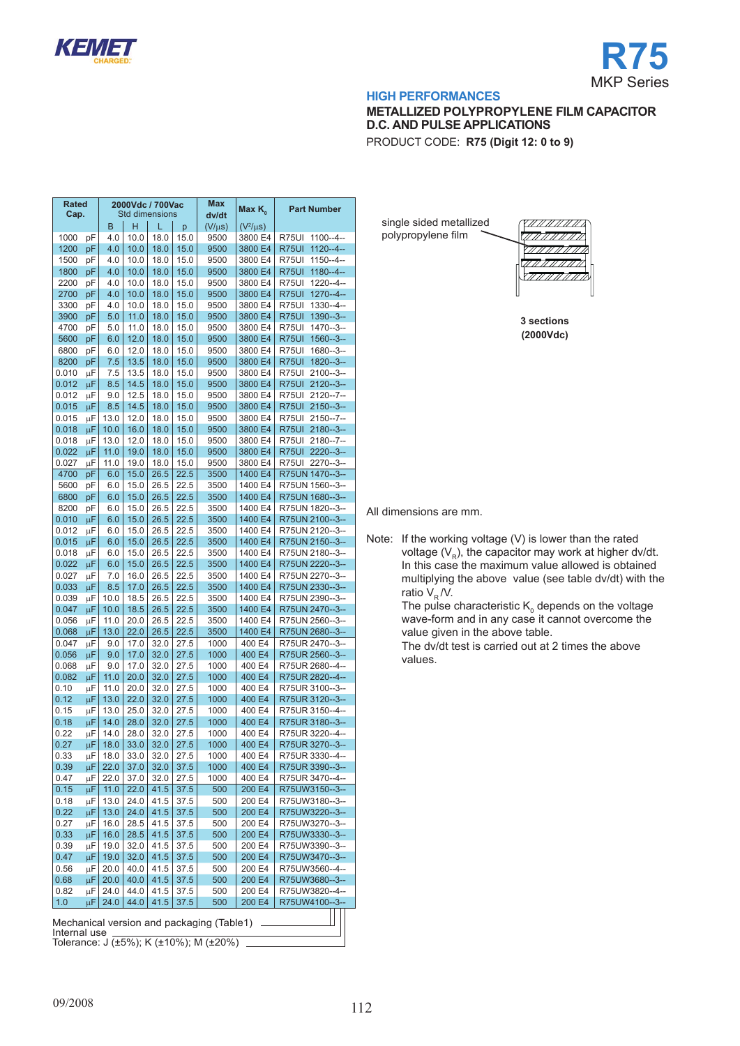

٦

**2000Vdc / 700Vac** 

**Max** 

T



#### **HIGH PERFORMANCES**

# **METALLIZED POLYPROPYLENE FILM CAPACITOR D.C. AND PULSE APPLICATIONS**

PRODUCT CODE: **R75 (Digit 12: 0 to 9)**

| Rated<br>Cap. |                    | 2000Vdc / 700Vac<br><b>Std dimensions</b> |      | Max<br>dv/dt | Max $K_{0}$ | <b>Part Number</b> |               |                        |
|---------------|--------------------|-------------------------------------------|------|--------------|-------------|--------------------|---------------|------------------------|
|               |                    | B                                         | н    | L            | р           | $(V/\mu s)$        | $(V^2/\mu s)$ |                        |
| 1000          | рF                 | 4.0                                       | 10.0 | 18.0         | 15.0        | 9500               | 3800 E4       | $1100 - 4 -$<br>R75UI  |
| 1200          | pF                 | 4.0                                       | 10.0 | 18.0         | 15.0        | 9500               | 3800 E4       | R75UI<br>$1120 - 4 -$  |
| 1500          | pF                 | 4.0                                       | 10.0 | 18.0         | 15.0        | 9500               | 3800 E4       | $1150 - 4 -$<br>R75UI  |
| 1800          | pF                 | 4.0                                       | 10.0 | 18.0         | 15.0        | 9500               | 3800 E4       | R75UI<br>$1180 - -4 -$ |
| 2200          | pF                 | 4.0                                       | 10.0 | 18.0         | 15.0        | 9500               | 3800 E4       | R75UI<br>$1220 - 4 -$  |
| 2700          | рF                 | 4.0                                       | 10.0 | 18.0         | 15.0        | 9500               | 3800 E4       | R75UI<br>$1270 - 4 -$  |
| 3300          |                    |                                           |      | 18.0         | 15.0        |                    |               | R75UI<br>$1330 - 4 -$  |
|               | рF                 | 4.0                                       | 10.0 |              |             | 9500               | 3800 E4       |                        |
| 3900          | pF                 | 5.0                                       | 11.0 | 18.0         | 15.0        | 9500               | 3800 E4       | R75UI<br>$1390 - 3 -$  |
| 4700          | рF                 | 5.0                                       | 11.0 | 18.0         | 15.0        | 9500               | 3800 E4       | R75UI<br>$1470 - 3 -$  |
| 5600          | рF                 | 6.0                                       | 12.0 | 18.0         | 15.0        | 9500               | 3800 E4       | R75UI<br>1560--3--     |
| 6800          | рF                 | 6.0                                       | 12.0 | 18.0         | 15.0        | 9500               | 3800 E4       | R75UI<br>1680--3--     |
| 8200          | рF                 | 7.5                                       | 13.5 | 18.0         | 15.0        | 9500               | 3800 E4       | R75UI<br>$1820 - 3 -$  |
| 0.010         | μF                 | 7.5                                       | 13.5 | 18.0         | 15.0        | 9500               | 3800 E4       | R75UI<br>$2100 - 3 -$  |
| 0.012         | μF                 | 8.5                                       | 14.5 | 18.0         | 15.0        | 9500               | 3800 E4       | R75UI<br>$2120 - 3 -$  |
| 0.012         | μF                 | 9.0                                       | 12.5 | 18.0         | 15.0        | 9500               | 3800 E4       | $2120 - 7 -$<br>R75UI  |
| 0.015         | μF                 | 8.5                                       | 14.5 | 18.0         | 15.0        | 9500               | 3800 E4       | R75UI<br>$2150 - 3 -$  |
| 0.015         | μF                 | 13.0                                      | 12.0 | 18.0         | 15.0        | 9500               | 3800 E4       | R75UI<br>$2150 - 7 -$  |
| 0.018         | μF                 | 10.0                                      | 16.0 | 18.0         | 15.0        | 9500               | 3800 E4       | R75UI<br>$2180 - 3 -$  |
| 0.018         |                    | 13.0                                      | 12.0 | 18.0         | 15.0        | 9500               | 3800 E4       | R75UI<br>$2180 - 7 -$  |
|               | μF                 |                                           |      |              |             |                    |               |                        |
| 0.022         | μF                 | 11.0                                      | 19.0 | 18.0         | 15.0        | 9500               | 3800 E4       | R75UI<br>$2220 - 3 -$  |
| 0.027         | μF                 | 11.0                                      | 19.0 | 18.0         | 15.0        | 9500               | 3800 E4       | R75UI<br>2270--3--     |
| 4700          | рF                 | 6.0                                       | 15.0 | 26.5         | 22.5        | 3500               | 1400 E4       | R75UN 1470--3--        |
| 5600          | рF                 | 6.0                                       | 15.0 | 26.5         | 22.5        | 3500               | 1400 E4       | R75UN 1560--3--        |
| 6800          | pF                 | 6.0                                       | 15.0 | 26.5         | 22.5        | 3500               | 1400 E4       | R75UN 1680--3--        |
| 8200          | рF                 | 6.0                                       | 15.0 | 26.5         | 22.5        | 3500               | 1400 E4       | R75UN 1820--3--        |
| 0.010         | μF                 | 6.0                                       | 15.0 | 26.5         | 22.5        | 3500               | 1400 E4       | R75UN 2100--3--        |
| 0.012         | μF                 | 6.0                                       | 15.0 | 26.5         | 22.5        | 3500               | 1400 E4       | R75UN 2120--3--        |
| 0.015         | μF                 | 6.0                                       | 15.0 | 26.5         | 22.5        | 3500               | 1400 E4       | R75UN 2150--3--        |
| 0.018         | μF                 | 6.0                                       | 15.0 | 26.5         | 22.5        | 3500               | 1400 E4       | R75UN 2180--3--        |
| 0.022         |                    | 6.0                                       | 15.0 | 26.5         | 22.5        | 3500               | 1400 E4       | R75UN 2220--3--        |
|               | μF                 |                                           |      |              |             |                    |               |                        |
| 0.027         | μF                 | 7.0                                       | 16.0 | 26.5         | 22.5        | 3500               | 1400 E4       | R75UN 2270--3--        |
| 0.033         | μF                 | 8.5                                       | 17.0 | 26.5         | 22.5        | 3500               | 1400 E4       | R75UN 2330--3--        |
| 0.039         | μF                 | 10.0                                      | 18.5 | 26.5         | 22.5        | 3500               | 1400 E4       | R75UN 2390--3--        |
| 0.047         | μF                 | 10.0                                      | 18.5 | 26.5         | 22.5        | 3500               | 1400 E4       | R75UN 2470--3--        |
| 0.056         | μF                 | 11.0                                      | 20.0 | 26.5         | 22.5        | 3500               | 1400 E4       | R75UN 2560--3--        |
| 0.068         | μF                 | 13.0                                      | 22.0 | 26.5         | 22.5        | 3500               | 1400 E4       | R75UN 2680--3--        |
| 0.047         | μF                 | 9.0                                       | 17.0 | 32.0         | 27.5        | 1000               | 400 E4        | R75UR 2470--3--        |
| 0.056         | μF                 | 9.0                                       | 17.0 | 32.0         | 27.5        | 1000               | 400 E4        | R75UR 2560--3--        |
| 0.068         | μF                 | 9.0                                       | 17.0 | 32.0         | 27.5        | 1000               | 400 E4        | R75UR 2680--4--        |
| 0.082         | μF                 | 11.0                                      | 20.0 | 32.0         | 27.5        | 1000               | 400 E4        | R75UR 2820--4--        |
| 0.10          | μF                 | 11.0                                      | 20.0 | 32.0         | 27.5        | 1000               | 400 E4        | R75UR 3100--3--        |
| 0.12          | μF                 | 13.0                                      | 22.0 | 32.0         | 27.5        | 1000               | 400 E4        | R75UR 3120--3--        |
|               |                    |                                           |      |              |             |                    |               |                        |
| 0.15          | μF                 | 13.0                                      | 25.0 | 32.0         | 27.5        | 1000               | 400 E4        | R75UR 3150--4--        |
| 0.18          | μF                 | 14.0                                      | 28.0 | 32.0         | 27.5        | 1000               | 400 E4        | R75UR 3180--3--        |
| 0.22          | μF                 | 14.0                                      | 28.0 | 32.0         | 27.5        | 1000               | 400 E4        | R75UR 3220--4--        |
| 0.27          | μF                 | 18.0                                      | 33.0 | 32.0         | 27.5        | 1000               | 400 E4        | R75UR 3270--3--        |
| 0.33          | μF                 | 18.0                                      | 33.0 | 32.0         | 27.5        | 1000               | 400 E4        | R75UR 3330--4--        |
| 0.39          | μF                 | 22.0                                      | 37.0 | 32.0         | 37.5        | 1000               | 400 E4        | R75UR 3390--3--        |
| 0.47          | μF                 | 22.0                                      | 37.0 | 32.0         | 27.5        | 1000               | 400 E4        | R75UR 3470--4--        |
| 0.15          | $\overline{\mu}$ F | 11.0                                      | 22.0 | 41.5         | 37.5        | 500                | 200 E4        | R75UW3150--3--         |
| 0.18          | μF                 | 13.0                                      | 24.0 | 41.5         | 37.5        | 500                | 200 E4        | R75UW3180--3--         |
| 0.22          | μF                 | 13.0                                      | 24.0 | 41.5         | 37.5        | 500                | 200 E4        | R75UW3220--3--         |
| 0.27          |                    | 16.0                                      |      | 41.5         |             | 500                | 200 E4        | R75UW3270--3--         |
|               | μF                 |                                           | 28.5 |              | 37.5        |                    |               |                        |
| 0.33          | μF                 | 16.0                                      | 28.5 | 41.5         | 37.5        | 500                | 200 E4        | R75UW3330--3--         |
| 0.39          | μF                 | 19.0                                      | 32.0 | 41.5         | 37.5        | 500                | 200 E4        | R75UW3390--3--         |
| 0.47          | μF                 | 19.0                                      | 32.0 | 41.5         | 37.5        | 500                | 200 E4        | R75UW3470--3--         |
| 0.56          | μF                 | 20.0                                      | 40.0 | 41.5         | 37.5        | 500                | 200 E4        | R75UW3560--4--         |
| 0.68          | μF                 | 20.0                                      | 40.0 | 41.5         | 37.5        | 500                | 200 E4        | R75UW3680--3--         |
| 0.82          | μF                 | 24.0                                      | 44.0 | 41.5         | 37.5        | 500                | 200 E4        | R75UW3820--4--         |
|               |                    |                                           | 44.0 | 41.5         | 37.5        | 500                | 200 E4        | R75UW4100--3--         |
| 1.0           | μF                 | 24.0                                      |      |              |             |                    |               |                        |

Internal use Tolerance: J (±5%); K (±10%); M (±20%)

| single sided metallized |    |  |
|-------------------------|----|--|
| polypropylene film      | Iz |  |
|                         |    |  |



**3 sections (2000Vdc)**

All dimensions are mm.

Note: If the working voltage (V) is lower than the rated voltage  $(V_R)$ , the capacitor may work at higher dv/dt. In this case the maximum value allowed is obtained multiplying the above value (see table dv/dt) with the ratio  $V_R / V$ .

> The pulse characteristic  $\mathsf{K}_{_{\scriptscriptstyle{0}}}$  depends on the voltage wave-form and in any case it cannot overcome the value given in the above table.

The dv/dt test is carried out at 2 times the above values.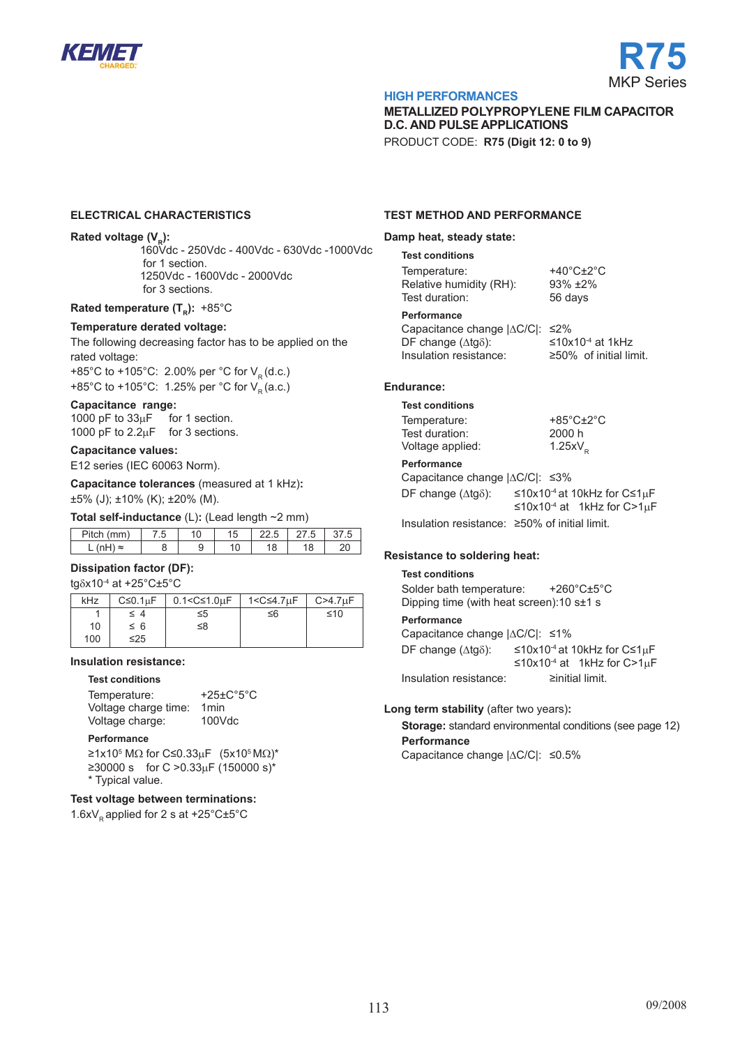



### **me tallized polyPROPYLENE film capacitor D.C. AND PULSE APPLICATIONS**

PRODUCT CODE: **R75 (Digit 12: 0 to 9)**

### **electrical characteristics**

### **Rated voltage (V<sub>R</sub>):**

160Vdc - 250Vdc - 400Vdc - 630Vdc -1000Vdc for 1 section. 1250Vdc - 1600Vdc - 2000Vdc for 3 sections.

#### **Rated temperature (T<sub>p</sub>): +85°C**

#### **Temperature derated voltage:**

The following decreasing factor has to be applied on the rated voltage:

+85°C to +105°C: 2.00% per °C for  $V_R$  (d.c.) +85°C to +105°C: 1.25% per °C for  $V_p$  (a.c.)

#### **Capacitance range:**

1000 pF to 33uF for 1 section. 1000 pF to 2.2<sub>u</sub>F for 3 sections.

#### **Capacitance values:**

E12 series (IEC 60063 Norm).

**Capacitance tolerances** (measured at 1 kHz)**:** ±5% (J); ±10% (K); ±20% (M).

**Total self-inductance** (L): (Lead length ~2 mm)

| Pitch (mm) | 7.5 |  | 15 | 22.5 | 27.5 |  |  |  |  |  |
|------------|-----|--|----|------|------|--|--|--|--|--|
| ∖ ≈        |     |  |    |      |      |  |  |  |  |  |
|            |     |  |    |      |      |  |  |  |  |  |

### **Dissipation factor (DF):**

tgδx10-4 at +25°C±5°C

| kHz | $C \leq 0.1$ uF | 0.1 <c≤1.0uf< th=""><th>1<c≤4.7µf< th=""><th><math>C &gt; 4.7 \mu F</math></th></c≤4.7µf<></th></c≤1.0uf<> | 1 <c≤4.7µf< th=""><th><math>C &gt; 4.7 \mu F</math></th></c≤4.7µf<> | $C > 4.7 \mu F$ |
|-----|-----------------|------------------------------------------------------------------------------------------------------------|---------------------------------------------------------------------|-----------------|
|     | $\leq 4$        | ≤5                                                                                                         | ≤6                                                                  | ≤10             |
| 10  | ≤ 6             | ≤8                                                                                                         |                                                                     |                 |
| 100 | ≤25             |                                                                                                            |                                                                     |                 |

#### **Insulation resistance:**

#### **Test conditions**

| Temperature:         | +25± $C°5°C$     |  |
|----------------------|------------------|--|
| Voltage charge time: | 1 <sub>min</sub> |  |
| Voltage charge:      | 100Vdc           |  |

#### **Performance**

≥1x105 MΩ for C≤0.33µF (5x105 MΩ)\* ≥30000 s for C > 0.33µF (150000 s)\* \* Typical value.

#### **Test voltage between terminations:**

1.6x $V_p$  applied for 2 s at +25 $^{\circ}$ C $\pm$ 5 $^{\circ}$ C

#### **test method and performance**

#### **Damp heat, steady state:**

# **Test conditions**

Temperature: +40°C±2°C<br>Relative humidity (RH): 93% ±2% Relative humidity (RH):  $93\% \pm 2\%$ <br>Test duration: 56 days Test duration:

**Performance**

| Capacitance change $ \Delta C/C $ : $\leq 2\%$ |                               |
|------------------------------------------------|-------------------------------|
| DF change $(\Delta t \alpha \delta)$ :         | ≤10x10 <sup>-4</sup> at 1kHz  |
| Insulation resistance:                         | $\geq 50\%$ of initial limit. |

#### **Endurance:**

### **Test conditions**

Temperature: +85°C±2°C<br>Test duration: +2000 h Test duration: Voltage applied:  $1.25xV_R$ 

#### **Performance**

Capacitance change |∆C/C|: ≤3% DF change (∆tgδ): ≤10x10-4 at 10kHz for C≤1µF ≤10x10<sup>-4</sup> at 1kHz for C>1µF Insulation resistance: ≥50% of initial limit.

### **Resistance to soldering heat:**

#### **Test conditions**

Solder bath temperature: +260°C±5°C Dipping time (with heat screen):10 s±1 s

#### **Performance**

Capacitance change |∆C/C|: ≤1% DF change (∆tgδ): ≤10x10-4 at 10kHz for C≤1µF ≤10x10<sup>-4</sup> at 1kHz for C>1µF Insulation resistance: ≥initial limit.

#### **Long term stability** (after two years)**:**

**Storage:** standard environmental conditions (see page 12) **Performance**

Capacitance change |∆C/C|: ≤0.5%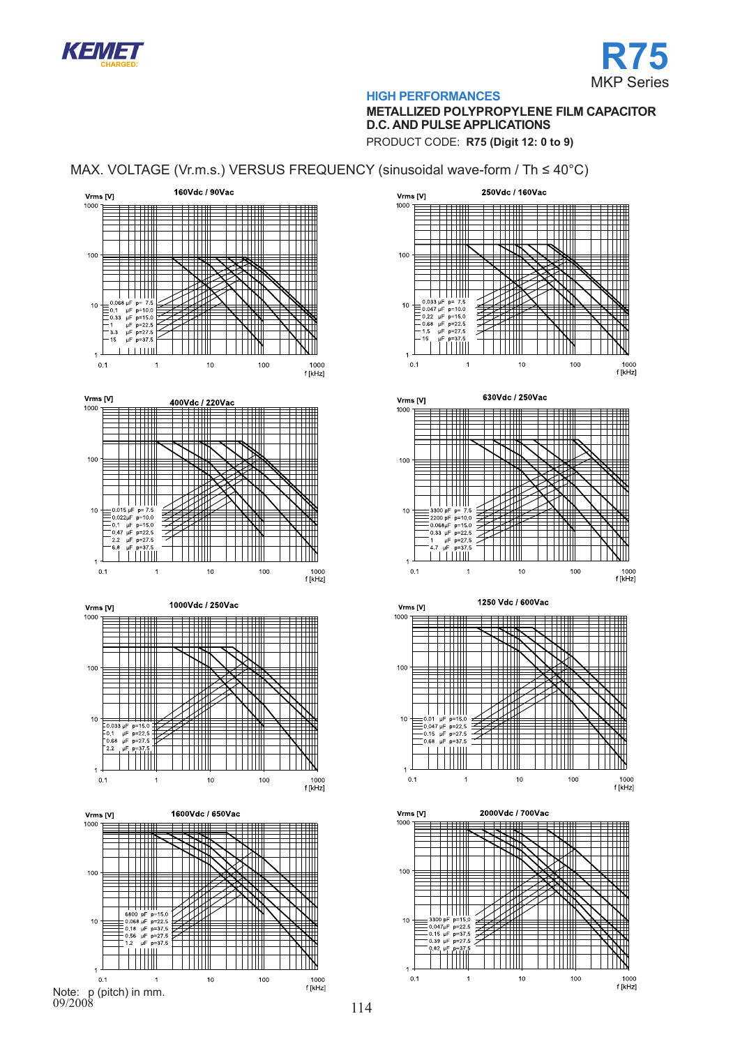



# **METALLIZED POLYPROPYLENE FILM CAPACITOR D.C. AND PULSE APPLICATIONS**

PRODUCT CODE: **R75 (Digit 12: 0 to 9)**

# MAX. VOLTAGE (Vr.m.s.) VERSUS FREQUENCY (sinusoidal wave-form / Th ≤ 40°C)



![](_page_9_Figure_7.jpeg)